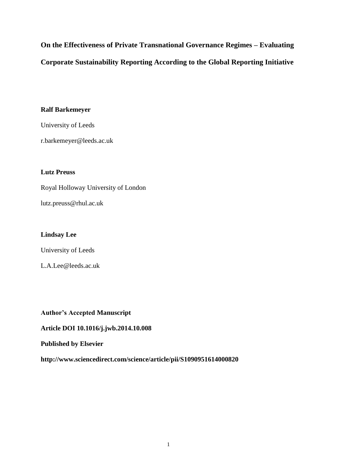**On the Effectiveness of Private Transnational Governance Regimes – Evaluating Corporate Sustainability Reporting According to the Global Reporting Initiative**

## **Ralf Barkemeyer**

University of Leeds

r.barkemeyer@leeds.ac.uk

## **Lutz Preuss**

Royal Holloway University of London

lutz.preuss@rhul.ac.uk

## **Lindsay Lee**

University of Leeds

L.A.Lee@leeds.ac.uk

## **Author's Accepted Manuscript**

**Article DOI 10.1016/j.jwb.2014.10.008**

## **Published by Elsevier**

**http://www.sciencedirect.com/science/article/pii/S1090951614000820**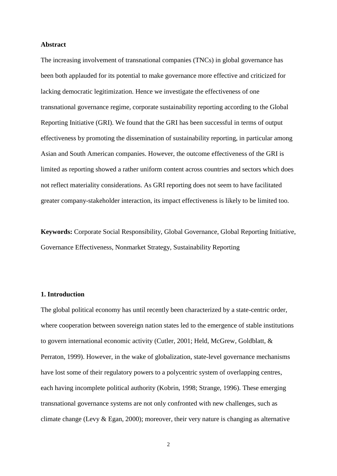### **Abstract**

The increasing involvement of transnational companies (TNCs) in global governance has been both applauded for its potential to make governance more effective and criticized for lacking democratic legitimization. Hence we investigate the effectiveness of one transnational governance regime, corporate sustainability reporting according to the Global Reporting Initiative (GRI). We found that the GRI has been successful in terms of output effectiveness by promoting the dissemination of sustainability reporting, in particular among Asian and South American companies. However, the outcome effectiveness of the GRI is limited as reporting showed a rather uniform content across countries and sectors which does not reflect materiality considerations. As GRI reporting does not seem to have facilitated greater company-stakeholder interaction, its impact effectiveness is likely to be limited too.

**Keywords:** Corporate Social Responsibility, Global Governance, Global Reporting Initiative, Governance Effectiveness, Nonmarket Strategy, Sustainability Reporting

## **1. Introduction**

The global political economy has until recently been characterized by a state-centric order, where cooperation between sovereign nation states led to the emergence of stable institutions to govern international economic activity (Cutler, 2001; Held, McGrew, Goldblatt, & Perraton, 1999). However, in the wake of globalization, state-level governance mechanisms have lost some of their regulatory powers to a polycentric system of overlapping centres, each having incomplete political authority (Kobrin, 1998; Strange, 1996). These emerging transnational governance systems are not only confronted with new challenges, such as climate change (Levy & Egan, 2000); moreover, their very nature is changing as alternative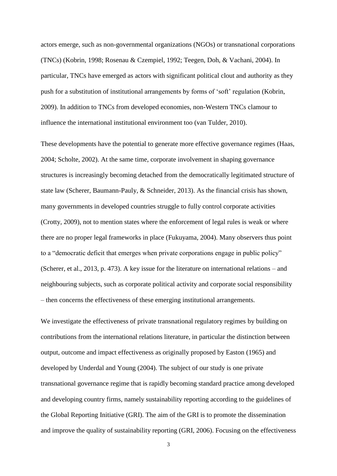actors emerge, such as non-governmental organizations (NGOs) or transnational corporations (TNCs) (Kobrin, 1998; Rosenau & Czempiel, 1992; Teegen, Doh, & Vachani, 2004). In particular, TNCs have emerged as actors with significant political clout and authority as they push for a substitution of institutional arrangements by forms of 'soft' regulation (Kobrin, 2009). In addition to TNCs from developed economies, non-Western TNCs clamour to influence the international institutional environment too (van Tulder, 2010).

These developments have the potential to generate more effective governance regimes (Haas, 2004; Scholte, 2002). At the same time, corporate involvement in shaping governance structures is increasingly becoming detached from the democratically legitimated structure of state law (Scherer, Baumann-Pauly, & Schneider, 2013). As the financial crisis has shown, many governments in developed countries struggle to fully control corporate activities (Crotty, 2009), not to mention states where the enforcement of legal rules is weak or where there are no proper legal frameworks in place (Fukuyama, 2004). Many observers thus point to a "democratic deficit that emerges when private corporations engage in public policy" (Scherer, et al., 2013, p. 473). A key issue for the literature on international relations – and neighbouring subjects, such as corporate political activity and corporate social responsibility – then concerns the effectiveness of these emerging institutional arrangements.

We investigate the effectiveness of private transnational regulatory regimes by building on contributions from the international relations literature, in particular the distinction between output, outcome and impact effectiveness as originally proposed by Easton (1965) and developed by Underdal and Young (2004). The subject of our study is one private transnational governance regime that is rapidly becoming standard practice among developed and developing country firms, namely sustainability reporting according to the guidelines of the Global Reporting Initiative (GRI). The aim of the GRI is to promote the dissemination and improve the quality of sustainability reporting (GRI, 2006). Focusing on the effectiveness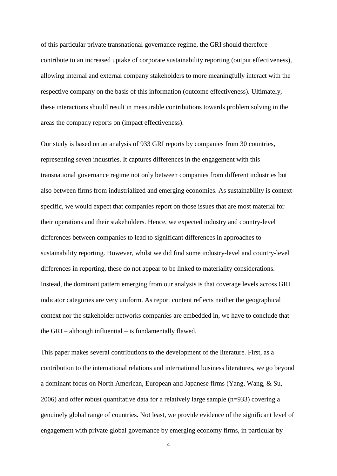of this particular private transnational governance regime, the GRI should therefore contribute to an increased uptake of corporate sustainability reporting (output effectiveness), allowing internal and external company stakeholders to more meaningfully interact with the respective company on the basis of this information (outcome effectiveness). Ultimately, these interactions should result in measurable contributions towards problem solving in the areas the company reports on (impact effectiveness).

Our study is based on an analysis of 933 GRI reports by companies from 30 countries, representing seven industries. It captures differences in the engagement with this transnational governance regime not only between companies from different industries but also between firms from industrialized and emerging economies. As sustainability is contextspecific, we would expect that companies report on those issues that are most material for their operations and their stakeholders. Hence, we expected industry and country-level differences between companies to lead to significant differences in approaches to sustainability reporting. However, whilst we did find some industry-level and country-level differences in reporting, these do not appear to be linked to materiality considerations. Instead, the dominant pattern emerging from our analysis is that coverage levels across GRI indicator categories are very uniform. As report content reflects neither the geographical context nor the stakeholder networks companies are embedded in, we have to conclude that the GRI – although influential – is fundamentally flawed.

This paper makes several contributions to the development of the literature. First, as a contribution to the international relations and international business literatures, we go beyond a dominant focus on North American, European and Japanese firms (Yang, Wang, & Su, 2006) and offer robust quantitative data for a relatively large sample (n=933) covering a genuinely global range of countries. Not least, we provide evidence of the significant level of engagement with private global governance by emerging economy firms, in particular by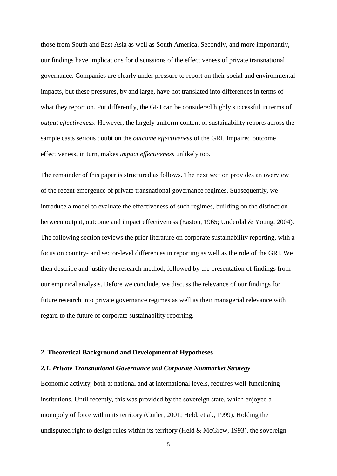those from South and East Asia as well as South America. Secondly, and more importantly, our findings have implications for discussions of the effectiveness of private transnational governance. Companies are clearly under pressure to report on their social and environmental impacts, but these pressures, by and large, have not translated into differences in terms of what they report on. Put differently, the GRI can be considered highly successful in terms of *output effectiveness*. However, the largely uniform content of sustainability reports across the sample casts serious doubt on the *outcome effectiveness* of the GRI. Impaired outcome effectiveness, in turn, makes *impact effectiveness* unlikely too.

The remainder of this paper is structured as follows. The next section provides an overview of the recent emergence of private transnational governance regimes. Subsequently, we introduce a model to evaluate the effectiveness of such regimes, building on the distinction between output, outcome and impact effectiveness (Easton, 1965; Underdal & Young, 2004). The following section reviews the prior literature on corporate sustainability reporting, with a focus on country- and sector-level differences in reporting as well as the role of the GRI. We then describe and justify the research method, followed by the presentation of findings from our empirical analysis. Before we conclude, we discuss the relevance of our findings for future research into private governance regimes as well as their managerial relevance with regard to the future of corporate sustainability reporting.

### **2. Theoretical Background and Development of Hypotheses**

## *2.1. Private Transnational Governance and Corporate Nonmarket Strategy*

Economic activity, both at national and at international levels, requires well-functioning institutions. Until recently, this was provided by the sovereign state, which enjoyed a monopoly of force within its territory (Cutler, 2001; Held, et al., 1999). Holding the undisputed right to design rules within its territory (Held  $&$  McGrew, 1993), the sovereign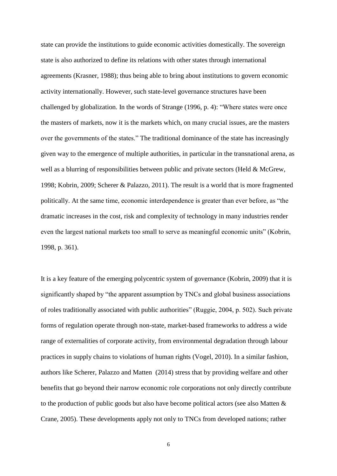state can provide the institutions to guide economic activities domestically. The sovereign state is also authorized to define its relations with other states through international agreements (Krasner, 1988); thus being able to bring about institutions to govern economic activity internationally. However, such state-level governance structures have been challenged by globalization. In the words of Strange (1996, p. 4): "Where states were once the masters of markets, now it is the markets which, on many crucial issues, are the masters over the governments of the states." The traditional dominance of the state has increasingly given way to the emergence of multiple authorities, in particular in the transnational arena, as well as a blurring of responsibilities between public and private sectors (Held & McGrew, 1998; Kobrin, 2009; Scherer & Palazzo, 2011). The result is a world that is more fragmented politically. At the same time, economic interdependence is greater than ever before, as "the dramatic increases in the cost, risk and complexity of technology in many industries render even the largest national markets too small to serve as meaningful economic units" (Kobrin, 1998, p. 361).

It is a key feature of the emerging polycentric system of governance (Kobrin, 2009) that it is significantly shaped by "the apparent assumption by TNCs and global business associations of roles traditionally associated with public authorities" (Ruggie, 2004, p. 502). Such private forms of regulation operate through non-state, market-based frameworks to address a wide range of externalities of corporate activity, from environmental degradation through labour practices in supply chains to violations of human rights (Vogel, 2010). In a similar fashion, authors like Scherer, Palazzo and Matten (2014) stress that by providing welfare and other benefits that go beyond their narrow economic role corporations not only directly contribute to the production of public goods but also have become political actors (see also Matten & Crane, 2005). These developments apply not only to TNCs from developed nations; rather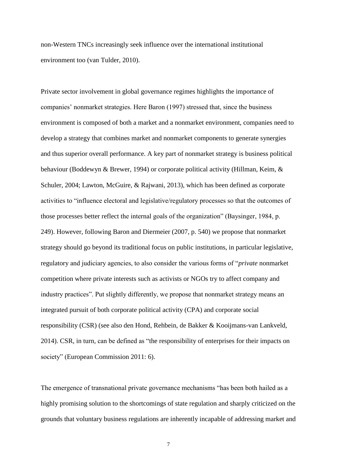non-Western TNCs increasingly seek influence over the international institutional environment too (van Tulder, 2010).

Private sector involvement in global governance regimes highlights the importance of companies' nonmarket strategies. Here Baron (1997) stressed that, since the business environment is composed of both a market and a nonmarket environment, companies need to develop a strategy that combines market and nonmarket components to generate synergies and thus superior overall performance. A key part of nonmarket strategy is business political behaviour (Boddewyn & Brewer, 1994) or corporate political activity (Hillman, Keim, & Schuler, 2004; Lawton, McGuire, & Rajwani, 2013), which has been defined as corporate activities to "influence electoral and legislative/regulatory processes so that the outcomes of those processes better reflect the internal goals of the organization" (Baysinger, 1984, p. 249). However, following Baron and Diermeier (2007, p. 540) we propose that nonmarket strategy should go beyond its traditional focus on public institutions, in particular legislative, regulatory and judiciary agencies, to also consider the various forms of "*private* nonmarket competition where private interests such as activists or NGOs try to affect company and industry practices". Put slightly differently, we propose that nonmarket strategy means an integrated pursuit of both corporate political activity (CPA) and corporate social responsibility (CSR) (see also den Hond, Rehbein, de Bakker & Kooijmans-van Lankveld, 2014). CSR, in turn, can be defined as "the responsibility of enterprises for their impacts on society" (European Commission 2011: 6).

The emergence of transnational private governance mechanisms "has been both hailed as a highly promising solution to the shortcomings of state regulation and sharply criticized on the grounds that voluntary business regulations are inherently incapable of addressing market and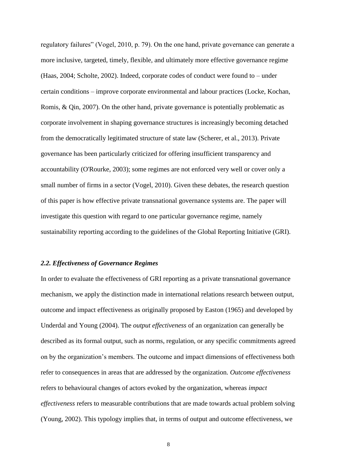regulatory failures" (Vogel, 2010, p. 79). On the one hand, private governance can generate a more inclusive, targeted, timely, flexible, and ultimately more effective governance regime (Haas, 2004; Scholte, 2002). Indeed, corporate codes of conduct were found to – under certain conditions – improve corporate environmental and labour practices (Locke, Kochan, Romis, & Qin, 2007). On the other hand, private governance is potentially problematic as corporate involvement in shaping governance structures is increasingly becoming detached from the democratically legitimated structure of state law (Scherer, et al., 2013). Private governance has been particularly criticized for offering insufficient transparency and accountability (O'Rourke, 2003); some regimes are not enforced very well or cover only a small number of firms in a sector (Vogel, 2010). Given these debates, the research question of this paper is how effective private transnational governance systems are. The paper will investigate this question with regard to one particular governance regime, namely sustainability reporting according to the guidelines of the Global Reporting Initiative (GRI).

## *2.2. Effectiveness of Governance Regimes*

In order to evaluate the effectiveness of GRI reporting as a private transnational governance mechanism, we apply the distinction made in international relations research between output, outcome and impact effectiveness as originally proposed by Easton (1965) and developed by Underdal and Young (2004). The *output effectiveness* of an organization can generally be described as its formal output, such as norms, regulation, or any specific commitments agreed on by the organization's members. The outcome and impact dimensions of effectiveness both refer to consequences in areas that are addressed by the organization. *Outcome effectiveness* refers to behavioural changes of actors evoked by the organization, whereas *impact effectiveness* refers to measurable contributions that are made towards actual problem solving (Young, 2002). This typology implies that, in terms of output and outcome effectiveness, we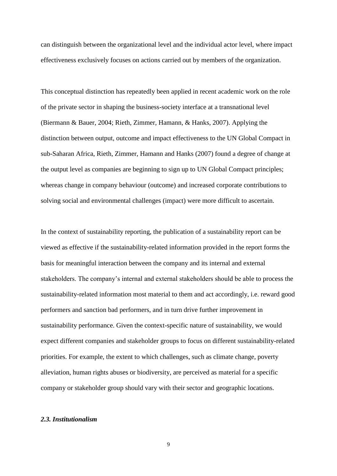can distinguish between the organizational level and the individual actor level, where impact effectiveness exclusively focuses on actions carried out by members of the organization.

This conceptual distinction has repeatedly been applied in recent academic work on the role of the private sector in shaping the business-society interface at a transnational level (Biermann & Bauer, 2004; Rieth, Zimmer, Hamann, & Hanks, 2007). Applying the distinction between output, outcome and impact effectiveness to the UN Global Compact in sub-Saharan Africa, Rieth, Zimmer, Hamann and Hanks (2007) found a degree of change at the output level as companies are beginning to sign up to UN Global Compact principles; whereas change in company behaviour (outcome) and increased corporate contributions to solving social and environmental challenges (impact) were more difficult to ascertain.

In the context of sustainability reporting, the publication of a sustainability report can be viewed as effective if the sustainability-related information provided in the report forms the basis for meaningful interaction between the company and its internal and external stakeholders. The company's internal and external stakeholders should be able to process the sustainability-related information most material to them and act accordingly, i.e. reward good performers and sanction bad performers, and in turn drive further improvement in sustainability performance. Given the context-specific nature of sustainability, we would expect different companies and stakeholder groups to focus on different sustainability-related priorities. For example, the extent to which challenges, such as climate change, poverty alleviation, human rights abuses or biodiversity, are perceived as material for a specific company or stakeholder group should vary with their sector and geographic locations.

## *2.3. Institutionalism*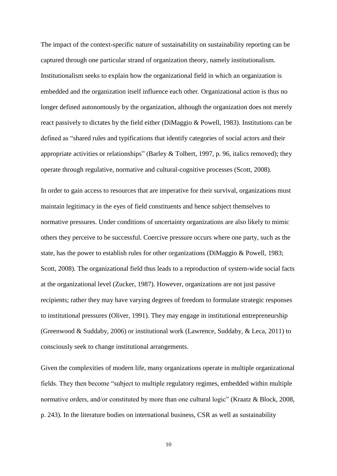The impact of the context-specific nature of sustainability on sustainability reporting can be captured through one particular strand of organization theory, namely institutionalism. Institutionalism seeks to explain how the organizational field in which an organization is embedded and the organization itself influence each other. Organizational action is thus no longer defined autonomously by the organization, although the organization does not merely react passively to dictates by the field either (DiMaggio & Powell, 1983). Institutions can be defined as "shared rules and typifications that identify categories of social actors and their appropriate activities or relationships" (Barley & Tolbert, 1997, p. 96, italics removed); they operate through regulative, normative and cultural-cognitive processes (Scott, 2008).

In order to gain access to resources that are imperative for their survival, organizations must maintain legitimacy in the eyes of field constituents and hence subject themselves to normative pressures. Under conditions of uncertainty organizations are also likely to mimic others they perceive to be successful. Coercive pressure occurs where one party, such as the state, has the power to establish rules for other organizations (DiMaggio & Powell, 1983; Scott, 2008). The organizational field thus leads to a reproduction of system-wide social facts at the organizational level (Zucker, 1987). However, organizations are not just passive recipients; rather they may have varying degrees of freedom to formulate strategic responses to institutional pressures (Oliver, 1991). They may engage in institutional entrepreneurship (Greenwood & Suddaby, 2006) or institutional work (Lawrence, Suddaby, & Leca, 2011) to consciously seek to change institutional arrangements.

Given the complexities of modern life, many organizations operate in multiple organizational fields. They then become "subject to multiple regulatory regimes, embedded within multiple normative orders, and/or constituted by more than one cultural logic" (Kraatz & Block, 2008, p. 243). In the literature bodies on international business, CSR as well as sustainability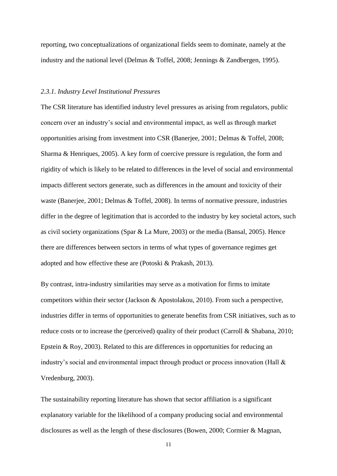reporting, two conceptualizations of organizational fields seem to dominate, namely at the industry and the national level (Delmas & Toffel, 2008; Jennings & Zandbergen, 1995).

### *2.3.1. Industry Level Institutional Pressures*

The CSR literature has identified industry level pressures as arising from regulators, public concern over an industry's social and environmental impact, as well as through market opportunities arising from investment into CSR (Banerjee, 2001; Delmas & Toffel, 2008; Sharma & Henriques, 2005). A key form of coercive pressure is regulation, the form and rigidity of which is likely to be related to differences in the level of social and environmental impacts different sectors generate, such as differences in the amount and toxicity of their waste (Banerjee, 2001; Delmas & Toffel, 2008). In terms of normative pressure, industries differ in the degree of legitimation that is accorded to the industry by key societal actors, such as civil society organizations (Spar & La Mure, 2003) or the media (Bansal, 2005). Hence there are differences between sectors in terms of what types of governance regimes get adopted and how effective these are (Potoski & Prakash, 2013).

By contrast, intra-industry similarities may serve as a motivation for firms to imitate competitors within their sector (Jackson & Apostolakou, 2010). From such a perspective, industries differ in terms of opportunities to generate benefits from CSR initiatives, such as to reduce costs or to increase the (perceived) quality of their product (Carroll & Shabana, 2010; Epstein & Roy, 2003). Related to this are differences in opportunities for reducing an industry's social and environmental impact through product or process innovation (Hall & Vredenburg, 2003).

The sustainability reporting literature has shown that sector affiliation is a significant explanatory variable for the likelihood of a company producing social and environmental disclosures as well as the length of these disclosures (Bowen, 2000; Cormier & Magnan,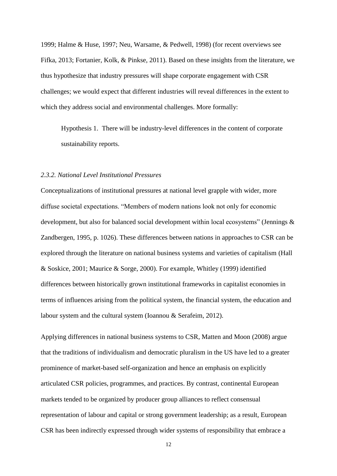1999; Halme & Huse, 1997; Neu, Warsame, & Pedwell, 1998) (for recent overviews see Fifka, 2013; Fortanier, Kolk, & Pinkse, 2011). Based on these insights from the literature, we thus hypothesize that industry pressures will shape corporate engagement with CSR challenges; we would expect that different industries will reveal differences in the extent to which they address social and environmental challenges. More formally:

Hypothesis 1. There will be industry-level differences in the content of corporate sustainability reports.

## *2.3.2. National Level Institutional Pressures*

Conceptualizations of institutional pressures at national level grapple with wider, more diffuse societal expectations. "Members of modern nations look not only for economic development, but also for balanced social development within local ecosystems" (Jennings & Zandbergen, 1995, p. 1026). These differences between nations in approaches to CSR can be explored through the literature on national business systems and varieties of capitalism (Hall & Soskice, 2001; Maurice & Sorge, 2000). For example, Whitley (1999) identified differences between historically grown institutional frameworks in capitalist economies in terms of influences arising from the political system, the financial system, the education and labour system and the cultural system (Ioannou & Serafeim, 2012).

Applying differences in national business systems to CSR, Matten and Moon (2008) argue that the traditions of individualism and democratic pluralism in the US have led to a greater prominence of market-based self-organization and hence an emphasis on explicitly articulated CSR policies, programmes, and practices. By contrast, continental European markets tended to be organized by producer group alliances to reflect consensual representation of labour and capital or strong government leadership; as a result, European CSR has been indirectly expressed through wider systems of responsibility that embrace a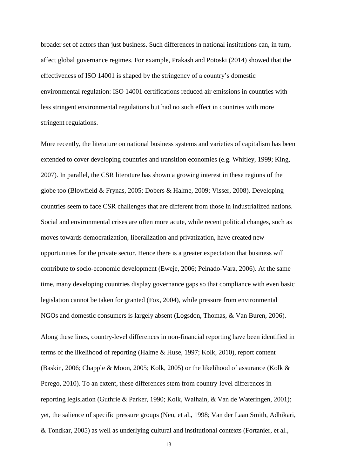broader set of actors than just business. Such differences in national institutions can, in turn, affect global governance regimes. For example, Prakash and Potoski (2014) showed that the effectiveness of ISO 14001 is shaped by the stringency of a country's domestic environmental regulation: ISO 14001 certifications reduced air emissions in countries with less stringent environmental regulations but had no such effect in countries with more stringent regulations.

More recently, the literature on national business systems and varieties of capitalism has been extended to cover developing countries and transition economies (e.g. Whitley, 1999; King, 2007). In parallel, the CSR literature has shown a growing interest in these regions of the globe too (Blowfield & Frynas, 2005; Dobers & Halme, 2009; Visser, 2008). Developing countries seem to face CSR challenges that are different from those in industrialized nations. Social and environmental crises are often more acute, while recent political changes, such as moves towards democratization, liberalization and privatization, have created new opportunities for the private sector. Hence there is a greater expectation that business will contribute to socio-economic development (Eweje, 2006; Peinado-Vara, 2006). At the same time, many developing countries display governance gaps so that compliance with even basic legislation cannot be taken for granted (Fox, 2004), while pressure from environmental NGOs and domestic consumers is largely absent (Logsdon, Thomas, & Van Buren, 2006).

Along these lines, country-level differences in non-financial reporting have been identified in terms of the likelihood of reporting (Halme & Huse, 1997; Kolk, 2010), report content (Baskin, 2006; Chapple & Moon, 2005; Kolk, 2005) or the likelihood of assurance (Kolk & Perego, 2010). To an extent, these differences stem from country-level differences in reporting legislation (Guthrie & Parker, 1990; Kolk, Walhain, & Van de Wateringen, 2001); yet, the salience of specific pressure groups (Neu, et al., 1998; Van der Laan Smith, Adhikari, & Tondkar, 2005) as well as underlying cultural and institutional contexts (Fortanier, et al.,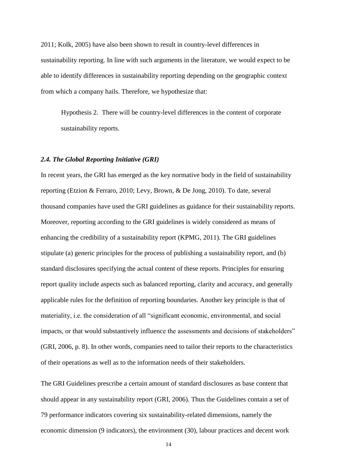2011; Kolk, 2005) have also been shown to result in country-level differences in sustainability reporting. In line with such arguments in the literature, we would expect to be able to identify differences in sustainability reporting depending on the geographic context from which a company hails. Therefore, we hypothesize that:

Hypothesis 2. There will be country-level differences in the content of corporate sustainability reports.

## *2.4. The Global Reporting Initiative (GRI)*

In recent years, the GRI has emerged as the key normative body in the field of sustainability reporting (Etzion & Ferraro, 2010; Levy, Brown, & De Jong, 2010). To date, several thousand companies have used the GRI guidelines as guidance for their sustainability reports. Moreover, reporting according to the GRI guidelines is widely considered as means of enhancing the credibility of a sustainability report (KPMG, 2011). The GRI guidelines stipulate (a) generic principles for the process of publishing a sustainability report, and (b) standard disclosures specifying the actual content of these reports. Principles for ensuring report quality include aspects such as balanced reporting, clarity and accuracy, and generally applicable rules for the definition of reporting boundaries. Another key principle is that of materiality, i.e. the consideration of all "significant economic, environmental, and social impacts, or that would substantively influence the assessments and decisions of stakeholders" (GRI, 2006, p. 8). In other words, companies need to tailor their reports to the characteristics of their operations as well as to the information needs of their stakeholders.

The GRI Guidelines prescribe a certain amount of standard disclosures as base content that should appear in any sustainability report (GRI, 2006). Thus the Guidelines contain a set of 79 performance indicators covering six sustainability-related dimensions, namely the economic dimension (9 indicators), the environment (30), labour practices and decent work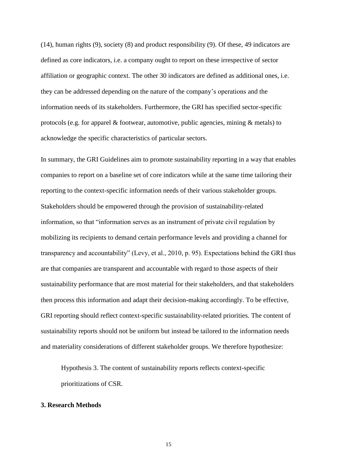(14), human rights (9), society (8) and product responsibility (9). Of these, 49 indicators are defined as core indicators, i.e. a company ought to report on these irrespective of sector affiliation or geographic context. The other 30 indicators are defined as additional ones, i.e. they can be addressed depending on the nature of the company's operations and the information needs of its stakeholders. Furthermore, the GRI has specified sector-specific protocols (e.g. for apparel & footwear, automotive, public agencies, mining & metals) to acknowledge the specific characteristics of particular sectors.

In summary, the GRI Guidelines aim to promote sustainability reporting in a way that enables companies to report on a baseline set of core indicators while at the same time tailoring their reporting to the context-specific information needs of their various stakeholder groups. Stakeholders should be empowered through the provision of sustainability-related information, so that "information serves as an instrument of private civil regulation by mobilizing its recipients to demand certain performance levels and providing a channel for transparency and accountability" (Levy, et al., 2010, p. 95). Expectations behind the GRI thus are that companies are transparent and accountable with regard to those aspects of their sustainability performance that are most material for their stakeholders, and that stakeholders then process this information and adapt their decision-making accordingly. To be effective, GRI reporting should reflect context-specific sustainability-related priorities. The content of sustainability reports should not be uniform but instead be tailored to the information needs and materiality considerations of different stakeholder groups. We therefore hypothesize:

Hypothesis 3. The content of sustainability reports reflects context-specific prioritizations of CSR.

## **3. Research Methods**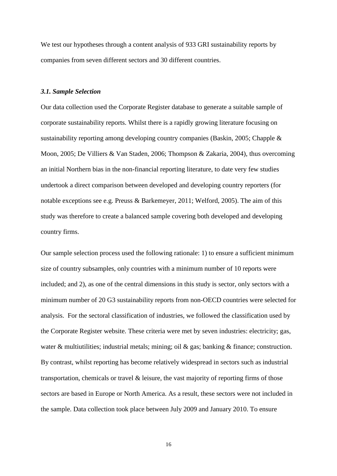We test our hypotheses through a content analysis of 933 GRI sustainability reports by companies from seven different sectors and 30 different countries.

### *3.1. Sample Selection*

Our data collection used the Corporate Register database to generate a suitable sample of corporate sustainability reports. Whilst there is a rapidly growing literature focusing on sustainability reporting among developing country companies (Baskin, 2005; Chapple & Moon, 2005; De Villiers & Van Staden, 2006; Thompson & Zakaria, 2004), thus overcoming an initial Northern bias in the non-financial reporting literature, to date very few studies undertook a direct comparison between developed and developing country reporters (for notable exceptions see e.g. Preuss & Barkemeyer, 2011; Welford, 2005). The aim of this study was therefore to create a balanced sample covering both developed and developing country firms.

Our sample selection process used the following rationale: 1) to ensure a sufficient minimum size of country subsamples, only countries with a minimum number of 10 reports were included; and 2), as one of the central dimensions in this study is sector, only sectors with a minimum number of 20 G3 sustainability reports from non-OECD countries were selected for analysis. For the sectoral classification of industries, we followed the classification used by the Corporate Register website. These criteria were met by seven industries: electricity; gas, water  $\&$  multiutilities; industrial metals; mining; oil  $\&$  gas; banking  $\&$  finance; construction. By contrast, whilst reporting has become relatively widespread in sectors such as industrial transportation, chemicals or travel & leisure, the vast majority of reporting firms of those sectors are based in Europe or North America. As a result, these sectors were not included in the sample. Data collection took place between July 2009 and January 2010. To ensure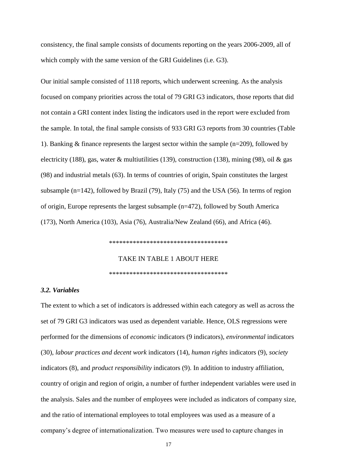consistency, the final sample consists of documents reporting on the years 2006-2009, all of which comply with the same version of the GRI Guidelines (i.e. G3).

Our initial sample consisted of 1118 reports, which underwent screening. As the analysis focused on company priorities across the total of 79 GRI G3 indicators, those reports that did not contain a GRI content index listing the indicators used in the report were excluded from the sample. In total, the final sample consists of 933 GRI G3 reports from 30 countries (Table 1). Banking & finance represents the largest sector within the sample (n=209), followed by electricity (188), gas, water  $\&$  multiutilities (139), construction (138), mining (98), oil  $\&$  gas (98) and industrial metals (63). In terms of countries of origin, Spain constitutes the largest subsample (n=142), followed by Brazil (79), Italy (75) and the USA (56). In terms of region of origin, Europe represents the largest subsample (n=472), followed by South America (173), North America (103), Asia (76), Australia/New Zealand (66), and Africa (46).

\*\*\*\*\*\*\*\*\*\*\*\*\*\*\*\*\*\*\*\*\*\*\*\*\*\*\*\*\*\*\*\*\*\*\*

TAKE IN TABLE 1 ABOUT HERE

\*\*\*\*\*\*\*\*\*\*\*\*\*\*\*\*\*\*\*\*\*\*\*\*\*\*\*\*\*\*\*\*\*\*\*

### *3.2. Variables*

The extent to which a set of indicators is addressed within each category as well as across the set of 79 GRI G3 indicators was used as dependent variable. Hence, OLS regressions were performed for the dimensions of *economic* indicators (9 indicators), *environmental* indicators (30), *labour practices and decent work* indicators (14), *human rights* indicators (9), *society* indicators (8), and *product responsibility* indicators (9). In addition to industry affiliation, country of origin and region of origin, a number of further independent variables were used in the analysis. Sales and the number of employees were included as indicators of company size, and the ratio of international employees to total employees was used as a measure of a company's degree of internationalization. Two measures were used to capture changes in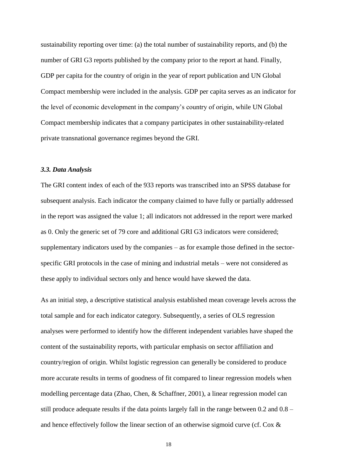sustainability reporting over time: (a) the total number of sustainability reports, and (b) the number of GRI G3 reports published by the company prior to the report at hand. Finally, GDP per capita for the country of origin in the year of report publication and UN Global Compact membership were included in the analysis. GDP per capita serves as an indicator for the level of economic development in the company's country of origin, while UN Global Compact membership indicates that a company participates in other sustainability-related private transnational governance regimes beyond the GRI.

## *3.3. Data Analysis*

The GRI content index of each of the 933 reports was transcribed into an SPSS database for subsequent analysis. Each indicator the company claimed to have fully or partially addressed in the report was assigned the value 1; all indicators not addressed in the report were marked as 0. Only the generic set of 79 core and additional GRI G3 indicators were considered; supplementary indicators used by the companies – as for example those defined in the sectorspecific GRI protocols in the case of mining and industrial metals – were not considered as these apply to individual sectors only and hence would have skewed the data.

As an initial step, a descriptive statistical analysis established mean coverage levels across the total sample and for each indicator category. Subsequently, a series of OLS regression analyses were performed to identify how the different independent variables have shaped the content of the sustainability reports, with particular emphasis on sector affiliation and country/region of origin. Whilst logistic regression can generally be considered to produce more accurate results in terms of goodness of fit compared to linear regression models when modelling percentage data (Zhao, Chen, & Schaffner, 2001), a linear regression model can still produce adequate results if the data points largely fall in the range between 0.2 and 0.8 – and hence effectively follow the linear section of an otherwise sigmoid curve (cf. Cox &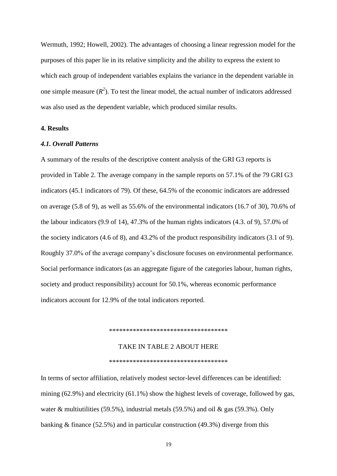Wermuth, 1992; Howell, 2002). The advantages of choosing a linear regression model for the purposes of this paper lie in its relative simplicity and the ability to express the extent to which each group of independent variables explains the variance in the dependent variable in one simple measure  $(R^2)$ . To test the linear model, the actual number of indicators addressed was also used as the dependent variable, which produced similar results.

## **4. Results**

### *4.1. Overall Patterns*

A summary of the results of the descriptive content analysis of the GRI G3 reports is provided in Table 2. The average company in the sample reports on 57.1% of the 79 GRI G3 indicators (45.1 indicators of 79). Of these, 64.5% of the economic indicators are addressed on average (5.8 of 9), as well as 55.6% of the environmental indicators (16.7 of 30), 70.6% of the labour indicators (9.9 of 14), 47.3% of the human rights indicators (4.3. of 9), 57.0% of the society indicators (4.6 of 8), and 43.2% of the product responsibility indicators (3.1 of 9). Roughly 37.0% of the average company's disclosure focuses on environmental performance. Social performance indicators (as an aggregate figure of the categories labour, human rights, society and product responsibility) account for 50.1%, whereas economic performance indicators account for 12.9% of the total indicators reported.

\*\*\*\*\*\*\*\*\*\*\*\*\*\*\*\*\*\*\*\*\*\*\*\*\*\*\*\*\*\*\*\*\*\*\*

## TAKE IN TABLE 2 ABOUT HERE

\*\*\*\*\*\*\*\*\*\*\*\*\*\*\*\*\*\*\*\*\*\*\*\*\*\*\*\*\*\*\*\*\*\*\*

In terms of sector affiliation, relatively modest sector-level differences can be identified: mining (62.9%) and electricity (61.1%) show the highest levels of coverage, followed by gas, water & multiutilities (59.5%), industrial metals (59.5%) and oil & gas (59.3%). Only banking & finance (52.5%) and in particular construction (49.3%) diverge from this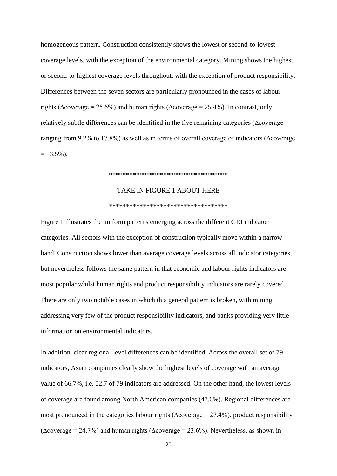homogeneous pattern. Construction consistently shows the lowest or second-to-lowest coverage levels, with the exception of the environmental category. Mining shows the highest or second-to-highest coverage levels throughout, with the exception of product responsibility. Differences between the seven sectors are particularly pronounced in the cases of labour rights ( $\Delta$ coverage = 25.6%) and human rights ( $\Delta$ coverage = 25.4%). In contrast, only relatively subtle differences can be identified in the five remaining categories (∆coverage ranging from 9.2% to 17.8%) as well as in terms of overall coverage of indicators (∆coverage  $= 13.5\%$ ).

#### \*\*\*\*\*\*\*\*\*\*\*\*\*\*\*\*\*\*\*\*\*\*\*\*\*\*\*\*\*\*\*\*\*\*\*

# TAKE IN FIGURE 1 ABOUT HERE \*\*\*\*\*\*\*\*\*\*\*\*\*\*\*\*\*\*\*\*\*\*\*\*\*\*\*\*\*\*\*\*\*\*\*

Figure 1 illustrates the uniform patterns emerging across the different GRI indicator categories. All sectors with the exception of construction typically move within a narrow band. Construction shows lower than average coverage levels across all indicator categories, but nevertheless follows the same pattern in that economic and labour rights indicators are most popular whilst human rights and product responsibility indicators are rarely covered. There are only two notable cases in which this general pattern is broken, with mining addressing very few of the product responsibility indicators, and banks providing very little information on environmental indicators.

In addition, clear regional-level differences can be identified. Across the overall set of 79 indicators, Asian companies clearly show the highest levels of coverage with an average value of 66.7%, i.e. 52.7 of 79 indicators are addressed. On the other hand, the lowest levels of coverage are found among North American companies (47.6%). Regional differences are most pronounced in the categories labour rights ( $\Delta$ coverage = 27.4%), product responsibility ( $\Delta$ coverage = 24.7%) and human rights ( $\Delta$ coverage = 23.6%). Nevertheless, as shown in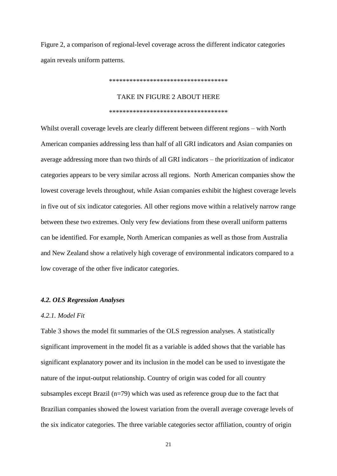Figure 2, a comparison of regional-level coverage across the different indicator categories again reveals uniform patterns.

\*\*\*\*\*\*\*\*\*\*\*\*\*\*\*\*\*\*\*\*\*\*\*\*\*\*\*\*\*\*\*\*\*\*\*

## TAKE IN FIGURE 2 ABOUT HERE

#### \*\*\*\*\*\*\*\*\*\*\*\*\*\*\*\*\*\*\*\*\*\*\*\*\*\*\*\*\*\*\*\*\*\*\*

Whilst overall coverage levels are clearly different between different regions – with North American companies addressing less than half of all GRI indicators and Asian companies on average addressing more than two thirds of all GRI indicators – the prioritization of indicator categories appears to be very similar across all regions. North American companies show the lowest coverage levels throughout, while Asian companies exhibit the highest coverage levels in five out of six indicator categories. All other regions move within a relatively narrow range between these two extremes. Only very few deviations from these overall uniform patterns can be identified. For example, North American companies as well as those from Australia and New Zealand show a relatively high coverage of environmental indicators compared to a low coverage of the other five indicator categories.

### *4.2. OLS Regression Analyses*

#### *4.2.1. Model Fit*

[Table 3](#page-43-0) shows the model fit summaries of the OLS regression analyses. A statistically significant improvement in the model fit as a variable is added shows that the variable has significant explanatory power and its inclusion in the model can be used to investigate the nature of the input-output relationship. Country of origin was coded for all country subsamples except Brazil (n=79) which was used as reference group due to the fact that Brazilian companies showed the lowest variation from the overall average coverage levels of the six indicator categories. The three variable categories sector affiliation, country of origin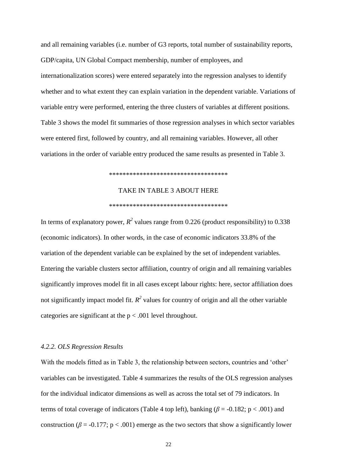and all remaining variables (i.e. number of G3 reports, total number of sustainability reports, GDP/capita, UN Global Compact membership, number of employees, and internationalization scores) were entered separately into the regression analyses to identify whether and to what extent they can explain variation in the dependent variable. Variations of variable entry were performed, entering the three clusters of variables at different positions. Table 3 shows the model fit summaries of those regression analyses in which sector variables were entered first, followed by country, and all remaining variables. However, all other variations in the order of variable entry produced the same results as presented in Table 3.

#### \*\*\*\*\*\*\*\*\*\*\*\*\*\*\*\*\*\*\*\*\*\*\*\*\*\*\*\*\*\*\*\*\*\*\*

## TAKE IN TABLE 3 ABOUT HERE

#### \*\*\*\*\*\*\*\*\*\*\*\*\*\*\*\*\*\*\*\*\*\*\*\*\*\*\*\*\*\*\*\*\*\*\*

In terms of explanatory power,  $R^2$  values range from 0.226 (product responsibility) to 0.338 (economic indicators). In other words, in the case of economic indicators 33.8% of the variation of the dependent variable can be explained by the set of independent variables. Entering the variable clusters sector affiliation, country of origin and all remaining variables significantly improves model fit in all cases except labour rights: here, sector affiliation does not significantly impact model fit.  $R^2$  values for country of origin and all the other variable categories are significant at the  $p < .001$  level throughout.

## *4.2.2. OLS Regression Results*

With the models fitted as in Table 3, the relationship between sectors, countries and 'other' variables can be investigated. Table 4 summarizes the results of the OLS regression analyses for the individual indicator dimensions as well as across the total set of 79 indicators. In terms of total coverage of indicators (Table 4 top left), banking ( $\beta$  = -0.182; p < .001) and construction ( $\beta$  = -0.177; p < .001) emerge as the two sectors that show a significantly lower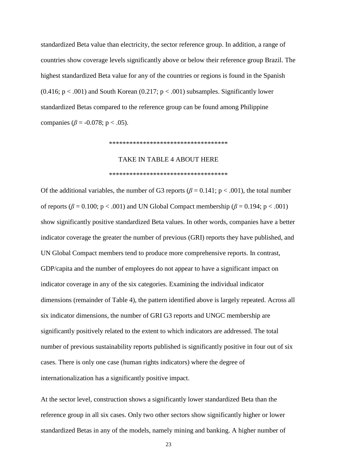standardized Beta value than electricity, the sector reference group. In addition, a range of countries show coverage levels significantly above or below their reference group Brazil. The highest standardized Beta value for any of the countries or regions is found in the Spanish  $(0.416; p < .001)$  and South Korean  $(0.217; p < .001)$  subsamples. Significantly lower standardized Betas compared to the reference group can be found among Philippine companies ( $\beta$  = -0.078; p < .05).

#### \*\*\*\*\*\*\*\*\*\*\*\*\*\*\*\*\*\*\*\*\*\*\*\*\*\*\*\*\*\*\*\*\*\*\*

## TAKE IN TABLE 4 ABOUT HERE

#### \*\*\*\*\*\*\*\*\*\*\*\*\*\*\*\*\*\*\*\*\*\*\*\*\*\*\*\*\*\*\*\*\*\*\*

Of the additional variables, the number of G3 reports ( $\beta$  = 0.141; p < .001), the total number of reports ( $\beta$  = 0.100; p < .001) and UN Global Compact membership ( $\beta$  = 0.194; p < .001) show significantly positive standardized Beta values. In other words, companies have a better indicator coverage the greater the number of previous (GRI) reports they have published, and UN Global Compact members tend to produce more comprehensive reports. In contrast, GDP/capita and the number of employees do not appear to have a significant impact on indicator coverage in any of the six categories. Examining the individual indicator dimensions (remainder of Table 4), the pattern identified above is largely repeated. Across all six indicator dimensions, the number of GRI G3 reports and UNGC membership are significantly positively related to the extent to which indicators are addressed. The total number of previous sustainability reports published is significantly positive in four out of six cases. There is only one case (human rights indicators) where the degree of internationalization has a significantly positive impact.

At the sector level, construction shows a significantly lower standardized Beta than the reference group in all six cases. Only two other sectors show significantly higher or lower standardized Betas in any of the models, namely mining and banking. A higher number of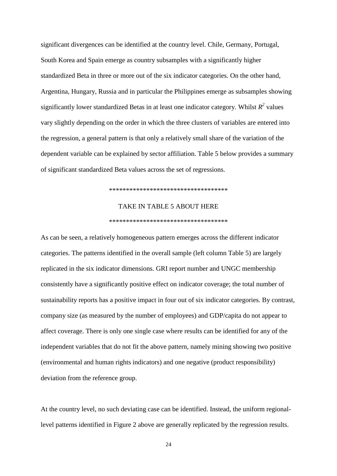significant divergences can be identified at the country level. Chile, Germany, Portugal, South Korea and Spain emerge as country subsamples with a significantly higher standardized Beta in three or more out of the six indicator categories. On the other hand, Argentina, Hungary, Russia and in particular the Philippines emerge as subsamples showing significantly lower standardized Betas in at least one indicator category. Whilst  $R^2$  values vary slightly depending on the order in which the three clusters of variables are entered into the regression, a general pattern is that only a relatively small share of the variation of the dependent variable can be explained by sector affiliation. Table 5 below provides a summary of significant standardized Beta values across the set of regressions.

### \*\*\*\*\*\*\*\*\*\*\*\*\*\*\*\*\*\*\*\*\*\*\*\*\*\*\*\*\*\*\*\*\*\*\*

## TAKE IN TABLE 5 ABOUT HERE

#### \*\*\*\*\*\*\*\*\*\*\*\*\*\*\*\*\*\*\*\*\*\*\*\*\*\*\*\*\*\*\*\*\*\*\*

As can be seen, a relatively homogeneous pattern emerges across the different indicator categories. The patterns identified in the overall sample (left column Table 5) are largely replicated in the six indicator dimensions. GRI report number and UNGC membership consistently have a significantly positive effect on indicator coverage; the total number of sustainability reports has a positive impact in four out of six indicator categories. By contrast, company size (as measured by the number of employees) and GDP/capita do not appear to affect coverage. There is only one single case where results can be identified for any of the independent variables that do not fit the above pattern, namely mining showing two positive (environmental and human rights indicators) and one negative (product responsibility) deviation from the reference group.

At the country level, no such deviating case can be identified. Instead, the uniform regionallevel patterns identified in Figure 2 above are generally replicated by the regression results.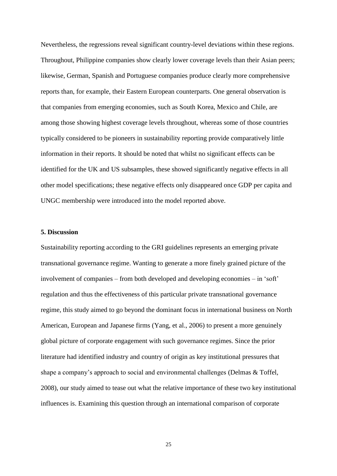Nevertheless, the regressions reveal significant country-level deviations within these regions. Throughout, Philippine companies show clearly lower coverage levels than their Asian peers; likewise, German, Spanish and Portuguese companies produce clearly more comprehensive reports than, for example, their Eastern European counterparts. One general observation is that companies from emerging economies, such as South Korea, Mexico and Chile, are among those showing highest coverage levels throughout, whereas some of those countries typically considered to be pioneers in sustainability reporting provide comparatively little information in their reports. It should be noted that whilst no significant effects can be identified for the UK and US subsamples, these showed significantly negative effects in all other model specifications; these negative effects only disappeared once GDP per capita and UNGC membership were introduced into the model reported above.

## **5. Discussion**

Sustainability reporting according to the GRI guidelines represents an emerging private transnational governance regime. Wanting to generate a more finely grained picture of the involvement of companies – from both developed and developing economies – in 'soft' regulation and thus the effectiveness of this particular private transnational governance regime, this study aimed to go beyond the dominant focus in international business on North American, European and Japanese firms (Yang, et al., 2006) to present a more genuinely global picture of corporate engagement with such governance regimes. Since the prior literature had identified industry and country of origin as key institutional pressures that shape a company's approach to social and environmental challenges (Delmas & Toffel, 2008), our study aimed to tease out what the relative importance of these two key institutional influences is. Examining this question through an international comparison of corporate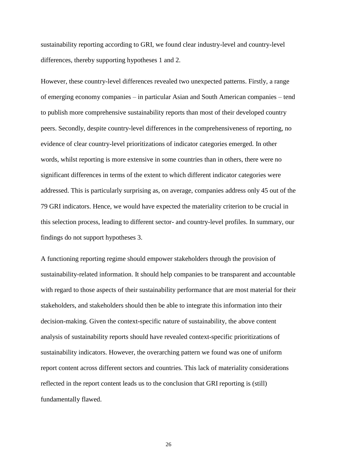sustainability reporting according to GRI, we found clear industry-level and country-level differences, thereby supporting hypotheses 1 and 2.

However, these country-level differences revealed two unexpected patterns. Firstly, a range of emerging economy companies – in particular Asian and South American companies – tend to publish more comprehensive sustainability reports than most of their developed country peers. Secondly, despite country-level differences in the comprehensiveness of reporting, no evidence of clear country-level prioritizations of indicator categories emerged. In other words, whilst reporting is more extensive in some countries than in others, there were no significant differences in terms of the extent to which different indicator categories were addressed. This is particularly surprising as, on average, companies address only 45 out of the 79 GRI indicators. Hence, we would have expected the materiality criterion to be crucial in this selection process, leading to different sector- and country-level profiles. In summary, our findings do not support hypotheses 3.

A functioning reporting regime should empower stakeholders through the provision of sustainability-related information. It should help companies to be transparent and accountable with regard to those aspects of their sustainability performance that are most material for their stakeholders, and stakeholders should then be able to integrate this information into their decision-making. Given the context-specific nature of sustainability, the above content analysis of sustainability reports should have revealed context-specific prioritizations of sustainability indicators. However, the overarching pattern we found was one of uniform report content across different sectors and countries. This lack of materiality considerations reflected in the report content leads us to the conclusion that GRI reporting is (still) fundamentally flawed.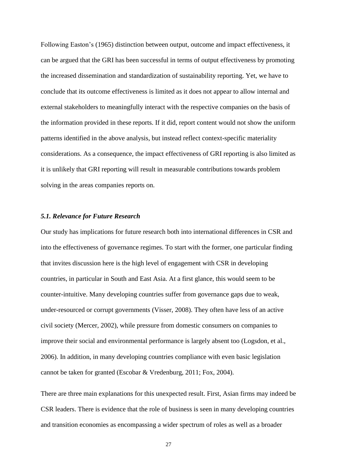Following Easton's (1965) distinction between output, outcome and impact effectiveness, it can be argued that the GRI has been successful in terms of output effectiveness by promoting the increased dissemination and standardization of sustainability reporting. Yet, we have to conclude that its outcome effectiveness is limited as it does not appear to allow internal and external stakeholders to meaningfully interact with the respective companies on the basis of the information provided in these reports. If it did, report content would not show the uniform patterns identified in the above analysis, but instead reflect context-specific materiality considerations. As a consequence, the impact effectiveness of GRI reporting is also limited as it is unlikely that GRI reporting will result in measurable contributions towards problem solving in the areas companies reports on.

## *5.1. Relevance for Future Research*

Our study has implications for future research both into international differences in CSR and into the effectiveness of governance regimes. To start with the former, one particular finding that invites discussion here is the high level of engagement with CSR in developing countries, in particular in South and East Asia. At a first glance, this would seem to be counter-intuitive. Many developing countries suffer from governance gaps due to weak, under-resourced or corrupt governments (Visser, 2008). They often have less of an active civil society (Mercer, 2002), while pressure from domestic consumers on companies to improve their social and environmental performance is largely absent too (Logsdon, et al., 2006). In addition, in many developing countries compliance with even basic legislation cannot be taken for granted (Escobar & Vredenburg, 2011; Fox, 2004).

There are three main explanations for this unexpected result. First, Asian firms may indeed be CSR leaders. There is evidence that the role of business is seen in many developing countries and transition economies as encompassing a wider spectrum of roles as well as a broader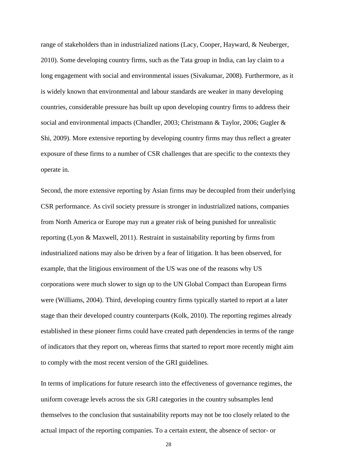range of stakeholders than in industrialized nations (Lacy, Cooper, Hayward, & Neuberger, 2010). Some developing country firms, such as the Tata group in India, can lay claim to a long engagement with social and environmental issues (Sivakumar, 2008). Furthermore, as it is widely known that environmental and labour standards are weaker in many developing countries, considerable pressure has built up upon developing country firms to address their social and environmental impacts (Chandler, 2003; Christmann & Taylor, 2006; Gugler & Shi, 2009). More extensive reporting by developing country firms may thus reflect a greater exposure of these firms to a number of CSR challenges that are specific to the contexts they operate in.

Second, the more extensive reporting by Asian firms may be decoupled from their underlying CSR performance. As civil society pressure is stronger in industrialized nations, companies from North America or Europe may run a greater risk of being punished for unrealistic reporting (Lyon & Maxwell, 2011). Restraint in sustainability reporting by firms from industrialized nations may also be driven by a fear of litigation. It has been observed, for example, that the litigious environment of the US was one of the reasons why US corporations were much slower to sign up to the UN Global Compact than European firms were (Williams, 2004). Third, developing country firms typically started to report at a later stage than their developed country counterparts (Kolk, 2010). The reporting regimes already established in these pioneer firms could have created path dependencies in terms of the range of indicators that they report on, whereas firms that started to report more recently might aim to comply with the most recent version of the GRI guidelines.

In terms of implications for future research into the effectiveness of governance regimes, the uniform coverage levels across the six GRI categories in the country subsamples lend themselves to the conclusion that sustainability reports may not be too closely related to the actual impact of the reporting companies. To a certain extent, the absence of sector- or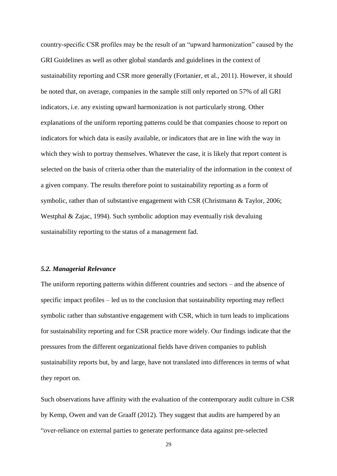country-specific CSR profiles may be the result of an "upward harmonization" caused by the GRI Guidelines as well as other global standards and guidelines in the context of sustainability reporting and CSR more generally (Fortanier, et al., 2011). However, it should be noted that, on average, companies in the sample still only reported on 57% of all GRI indicators, i.e. any existing upward harmonization is not particularly strong. Other explanations of the uniform reporting patterns could be that companies choose to report on indicators for which data is easily available, or indicators that are in line with the way in which they wish to portray themselves. Whatever the case, it is likely that report content is selected on the basis of criteria other than the materiality of the information in the context of a given company. The results therefore point to sustainability reporting as a form of symbolic, rather than of substantive engagement with CSR (Christmann & Taylor, 2006; Westphal & Zajac, 1994). Such symbolic adoption may eventually risk devaluing sustainability reporting to the status of a management fad.

## *5.2. Managerial Relevance*

The uniform reporting patterns within different countries and sectors – and the absence of specific impact profiles – led us to the conclusion that sustainability reporting may reflect symbolic rather than substantive engagement with CSR, which in turn leads to implications for sustainability reporting and for CSR practice more widely. Our findings indicate that the pressures from the different organizational fields have driven companies to publish sustainability reports but, by and large, have not translated into differences in terms of what they report on.

Such observations have affinity with the evaluation of the contemporary audit culture in CSR by Kemp, Owen and van de Graaff (2012). They suggest that audits are hampered by an "over-reliance on external parties to generate performance data against pre-selected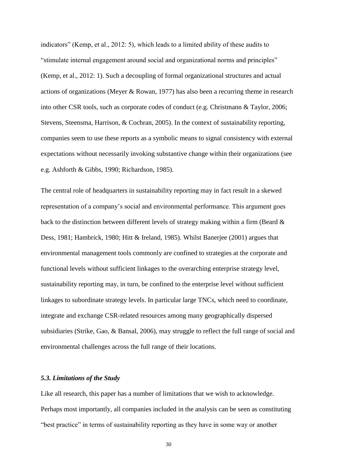indicators" (Kemp, et al., 2012: 5), which leads to a limited ability of these audits to "stimulate internal engagement around social and organizational norms and principles" (Kemp, et al., 2012: 1). Such a decoupling of formal organizational structures and actual actions of organizations (Meyer & Rowan, 1977) has also been a recurring theme in research into other CSR tools, such as corporate codes of conduct (e.g. Christmann & Taylor, 2006; Stevens, Steensma, Harrison, & Cochran, 2005). In the context of sustainability reporting, companies seem to use these reports as a symbolic means to signal consistency with external expectations without necessarily invoking substantive change within their organizations (see e.g. Ashforth & Gibbs, 1990; Richardson, 1985).

The central role of headquarters in sustainability reporting may in fact result in a skewed representation of a company's social and environmental performance. This argument goes back to the distinction between different levels of strategy making within a firm (Beard  $\&$ Dess, 1981; Hambrick, 1980; Hitt & Ireland, 1985). Whilst Banerjee (2001) argues that environmental management tools commonly are confined to strategies at the corporate and functional levels without sufficient linkages to the overarching enterprise strategy level, sustainability reporting may, in turn, be confined to the enterprise level without sufficient linkages to subordinate strategy levels. In particular large TNCs, which need to coordinate, integrate and exchange CSR-related resources among many geographically dispersed subsidiaries (Strike, Gao, & Bansal, 2006), may struggle to reflect the full range of social and environmental challenges across the full range of their locations.

## *5.3. Limitations of the Study*

Like all research, this paper has a number of limitations that we wish to acknowledge. Perhaps most importantly, all companies included in the analysis can be seen as constituting "best practice" in terms of sustainability reporting as they have in some way or another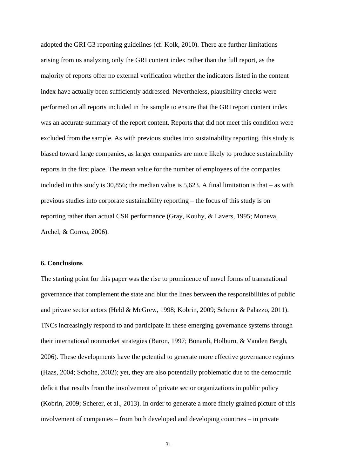adopted the GRI G3 reporting guidelines (cf. Kolk, 2010). There are further limitations arising from us analyzing only the GRI content index rather than the full report, as the majority of reports offer no external verification whether the indicators listed in the content index have actually been sufficiently addressed. Nevertheless, plausibility checks were performed on all reports included in the sample to ensure that the GRI report content index was an accurate summary of the report content. Reports that did not meet this condition were excluded from the sample. As with previous studies into sustainability reporting, this study is biased toward large companies, as larger companies are more likely to produce sustainability reports in the first place. The mean value for the number of employees of the companies included in this study is 30,856; the median value is 5,623. A final limitation is that – as with previous studies into corporate sustainability reporting – the focus of this study is on reporting rather than actual CSR performance (Gray, Kouhy, & Lavers, 1995; Moneva, Archel, & Correa, 2006).

## **6. Conclusions**

The starting point for this paper was the rise to prominence of novel forms of transnational governance that complement the state and blur the lines between the responsibilities of public and private sector actors (Held & McGrew, 1998; Kobrin, 2009; Scherer & Palazzo, 2011). TNCs increasingly respond to and participate in these emerging governance systems through their international nonmarket strategies (Baron, 1997; Bonardi, Holburn, & Vanden Bergh, 2006). These developments have the potential to generate more effective governance regimes (Haas, 2004; Scholte, 2002); yet, they are also potentially problematic due to the democratic deficit that results from the involvement of private sector organizations in public policy (Kobrin, 2009; Scherer, et al., 2013). In order to generate a more finely grained picture of this involvement of companies – from both developed and developing countries – in private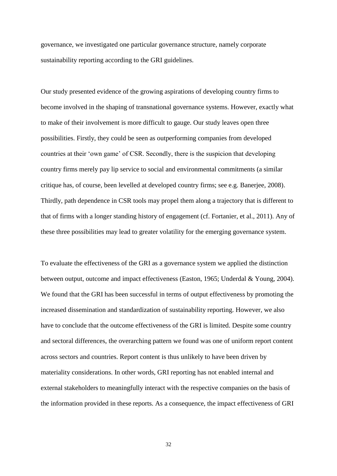governance, we investigated one particular governance structure, namely corporate sustainability reporting according to the GRI guidelines.

Our study presented evidence of the growing aspirations of developing country firms to become involved in the shaping of transnational governance systems. However, exactly what to make of their involvement is more difficult to gauge. Our study leaves open three possibilities. Firstly, they could be seen as outperforming companies from developed countries at their 'own game' of CSR. Secondly, there is the suspicion that developing country firms merely pay lip service to social and environmental commitments (a similar critique has, of course, been levelled at developed country firms; see e.g. Banerjee, 2008). Thirdly, path dependence in CSR tools may propel them along a trajectory that is different to that of firms with a longer standing history of engagement (cf. Fortanier, et al., 2011). Any of these three possibilities may lead to greater volatility for the emerging governance system.

To evaluate the effectiveness of the GRI as a governance system we applied the distinction between output, outcome and impact effectiveness (Easton, 1965; Underdal & Young, 2004). We found that the GRI has been successful in terms of output effectiveness by promoting the increased dissemination and standardization of sustainability reporting. However, we also have to conclude that the outcome effectiveness of the GRI is limited. Despite some country and sectoral differences, the overarching pattern we found was one of uniform report content across sectors and countries. Report content is thus unlikely to have been driven by materiality considerations. In other words, GRI reporting has not enabled internal and external stakeholders to meaningfully interact with the respective companies on the basis of the information provided in these reports. As a consequence, the impact effectiveness of GRI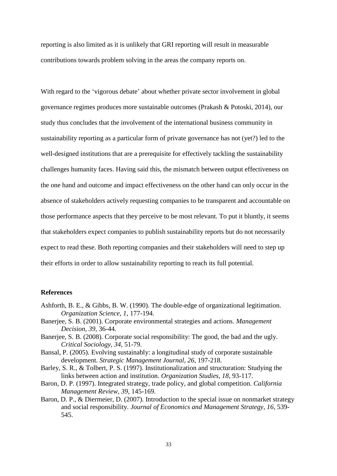reporting is also limited as it is unlikely that GRI reporting will result in measurable contributions towards problem solving in the areas the company reports on.

With regard to the 'vigorous debate' about whether private sector involvement in global governance regimes produces more sustainable outcomes (Prakash & Potoski, 2014), our study thus concludes that the involvement of the international business community in sustainability reporting as a particular form of private governance has not (yet?) led to the well-designed institutions that are a prerequisite for effectively tackling the sustainability challenges humanity faces. Having said this, the mismatch between output effectiveness on the one hand and outcome and impact effectiveness on the other hand can only occur in the absence of stakeholders actively requesting companies to be transparent and accountable on those performance aspects that they perceive to be most relevant. To put it bluntly, it seems that stakeholders expect companies to publish sustainability reports but do not necessarily expect to read these. Both reporting companies and their stakeholders will need to step up their efforts in order to allow sustainability reporting to reach its full potential.

## **References**

- Ashforth, B. E., & Gibbs, B. W. (1990). The double-edge of organizational legitimation. *Organization Science, 1*, 177-194.
- Banerjee, S. B. (2001). Corporate environmental strategies and actions. *Management Decision, 39*, 36-44.
- Banerjee, S. B. (2008). Corporate social responsibility: The good, the bad and the ugly. *Critical Sociology, 34*, 51-79.
- Bansal, P. (2005). Evolving sustainably: a longitudinal study of corporate sustainable development. *Strategic Management Journal, 26*, 197-218.
- Barley, S. R., & Tolbert, P. S. (1997). Institutionalization and structuration: Studying the links between action and institution. *Organization Studies, 18*, 93-117.
- Baron, D. P. (1997). Integrated strategy, trade policy, and global competition. *California Management Review, 39*, 145-169.
- Baron, D. P., & Diermeier, D. (2007). Introduction to the special issue on nonmarket strategy and social responsibility. *Journal of Economics and Management Strategy, 16*, 539- 545.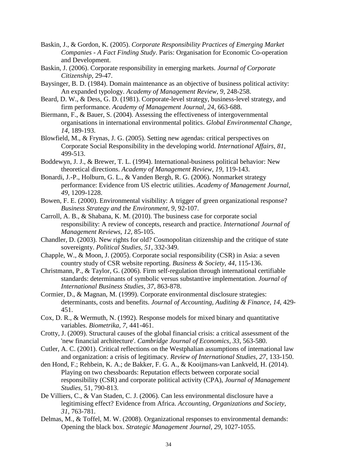- Baskin, J., & Gordon, K. (2005). *Corporate Responsibility Practices of Emerging Market Companies - A Fact Finding Study*. Paris: Organisation for Economic Co-operation and Development.
- Baskin, J. (2006). Corporate responsibility in emerging markets. *Journal of Corporate Citizenship*, 29-47.
- Baysinger, B. D. (1984). Domain maintenance as an objective of business political activity: An expanded typology. *Academy of Management Review, 9*, 248-258.
- Beard, D. W., & Dess, G. D. (1981). Corporate-level strategy, business-level strategy, and firm performance. *Academy of Management Journal, 24*, 663-688.
- Biermann, F., & Bauer, S. (2004). Assessing the effectiveness of intergovernmental organisations in international environmental politics. *Global Environmental Change, 14*, 189-193.
- Blowfield, M., & Frynas, J. G. (2005). Setting new agendas: critical perspectives on Corporate Social Responsibility in the developing world. *International Affairs, 81*, 499-513.
- Boddewyn, J. J., & Brewer, T. L. (1994). International-business political behavior: New theoretical directions. *Academy of Management Review, 19*, 119-143.
- Bonardi, J.-P., Holburn, G. L., & Vanden Bergh, R. G. (2006). Nonmarket strategy performance: Evidence from US electric utilities. *Academy of Management Journal, 49*, 1209-1228.
- Bowen, F. E. (2000). Environmental visibility: A trigger of green organizational response? *Business Strategy and the Environment, 9*, 92-107.
- Carroll, A. B., & Shabana, K. M. (2010). The business case for corporate social responsibility: A review of concepts, research and practice. *International Journal of Management Reviews, 12*, 85-105.
- Chandler, D. (2003). New rights for old? Cosmopolitan citizenship and the critique of state sovereignty. *Political Studies, 51*, 332-349.
- Chapple, W., & Moon, J. (2005). Corporate social responsibility (CSR) in Asia: a seven country study of CSR website reporting. *Business & Society, 44*, 115-136.
- Christmann, P., & Taylor, G. (2006). Firm self-regulation through international certifiable standards: determinants of symbolic versus substantive implementation. *Journal of International Business Studies, 37*, 863-878.
- Cormier, D., & Magnan, M. (1999). Corporate environmental disclosure strategies: determinants, costs and benefits. *Journal of Accounting, Auditing & Finance, 14*, 429- 451.
- Cox, D. R., & Wermuth, N. (1992). Response models for mixed binary and quantitative variables. *Biometrika, 7*, 441-461.
- Crotty, J. (2009). Structural causes of the global financial crisis: a critical assessment of the 'new financial architecture'. *Cambridge Journal of Economics, 33*, 563-580.
- Cutler, A. C. (2001). Critical reflections on the Westphalian assumptions of international law and organization: a crisis of legitimacy. *Review of International Studies, 27*, 133-150.
- den Hond, F.; Rehbein, K. A.; de Bakker, F. G. A., & Kooijmans-van Lankveld, H. (2014). Playing on two chessboards: Reputation effects between corporate social responsibility (CSR) and corporate political activity (CPA), *Journal of Management Studies*, 51, 790-813.
- De Villiers, C., & Van Staden, C. J. (2006). Can less environmental disclosure have a legitimising effect? Evidence from Africa. *Accounting, Organizations and Society, 31*, 763-781.
- Delmas, M., & Toffel, M. W. (2008). Organizational responses to environmental demands: Opening the black box. *Strategic Management Journal, 29*, 1027-1055.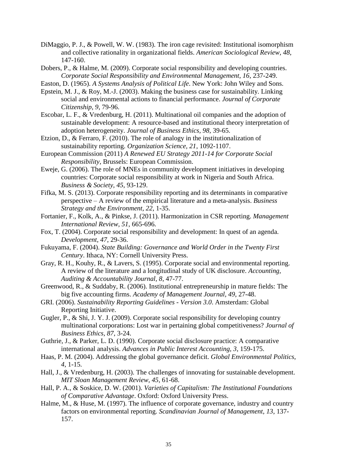- DiMaggio, P. J., & Powell, W. W. (1983). The iron cage revisited: Institutional isomorphism and collective rationality in organizational fields. *American Sociological Review, 48*, 147-160.
- Dobers, P., & Halme, M. (2009). Corporate social responsibility and developing countries. *Corporate Social Responsibility and Environmental Management, 16*, 237-249.
- Easton, D. (1965). *A Systems Analysis of Political Life*. New York: John Wiley and Sons.
- Epstein, M. J., & Roy, M.-J. (2003). Making the business case for sustainability. Linking social and environmental actions to financial performance. *Journal of Corporate Citizenship, 9*, 79-96.
- Escobar, L. F., & Vredenburg, H. (2011). Multinational oil companies and the adoption of sustainable development: A resource-based and institutional theory interpretation of adoption heterogeneity. *Journal of Business Ethics, 98*, 39-65.
- Etzion, D., & Ferraro, F. (2010). The role of analogy in the institutionalization of sustainability reporting. *Organization Science, 21*, 1092-1107.
- European Commission (2011) *A Renewed EU Strategy 2011-14 for Corporate Social Responsibility*, Brussels: European Commission.
- Eweje, G. (2006). The role of MNEs in community development initiatives in developing countries: Corporate social responsibility at work in Nigeria and South Africa. *Business & Society, 45*, 93-129.
- Fifka, M. S. (2013). Corporate responsibility reporting and its determinants in comparative perspective – A review of the empirical literature and a meta-analysis. *Business Strategy and the Environment, 22*, 1-35.
- Fortanier, F., Kolk, A., & Pinkse, J. (2011). Harmonization in CSR reporting. *Management International Review, 51*, 665-696.
- Fox, T. (2004). Corporate social responsibility and development: In quest of an agenda. *Development, 47*, 29-36.
- Fukuyama, F. (2004). *State Building: Governance and World Order in the Twenty First Century*. Ithaca, NY: Cornell University Press.
- Gray, R. H., Kouhy, R., & Lavers, S. (1995). Corporate social and environmental reporting. A review of the literature and a longitudinal study of UK disclosure. *Accounting, Auditing & Accountability Journal, 8*, 47-77.
- Greenwood, R., & Suddaby, R. (2006). Institutional entrepreneurship in mature fields: The big five accounting firms. *Academy of Management Journal, 49*, 27-48.
- GRI. (2006). *Sustainability Reporting Guidelines - Version 3.0*. Amsterdam: Global Reporting Initiative.
- Gugler, P., & Shi, J. Y. J. (2009). Corporate social responsibility for developing country multinational corporations: Lost war in pertaining global competitiveness? *Journal of Business Ethics, 87*, 3-24.
- Guthrie, J., & Parker, L. D. (1990). Corporate social disclosure practice: A comparative international analysis. *Advances in Public Interest Accounting, 3*, 159-175.
- Haas, P. M. (2004). Addressing the global governance deficit. *Global Environmental Politics, 4*, 1-15.
- Hall, J., & Vredenburg, H. (2003). The challenges of innovating for sustainable development. *MIT Sloan Management Review, 45*, 61-68.
- Hall, P. A., & Soskice, D. W. (2001). *Varieties of Capitalism: The Institutional Foundations of Comparative Advantage*. Oxford: Oxford University Press.
- Halme, M., & Huse, M. (1997). The influence of corporate governance, industry and country factors on environmental reporting. *Scandinavian Journal of Management, 13*, 137- 157.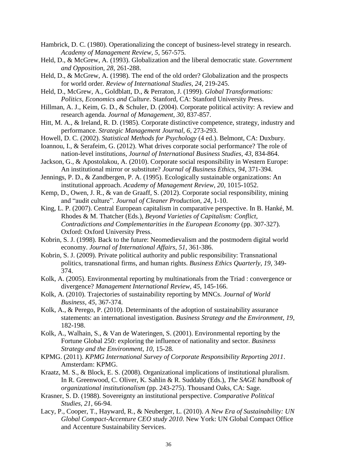Hambrick, D. C. (1980). Operationalizing the concept of business-level strategy in research. *Academy of Management Review, 5*, 567-575.

- Held, D., & McGrew, A. (1993). Globalization and the liberal democratic state. *Government and Opposition, 28*, 261-288.
- Held, D., & McGrew, A. (1998). The end of the old order? Globalization and the prospects for world order. *Review of International Studies, 24*, 219-245.
- Held, D., McGrew, A., Goldblatt, D., & Perraton, J. (1999). *Global Transformations: Politics, Economics and Culture*. Stanford, CA: Stanford University Press.
- Hillman, A. J., Keim, G. D., & Schuler, D. (2004). Corporate political activity: A review and research agenda. *Journal of Management, 30*, 837-857.
- Hitt, M. A., & Ireland, R. D. (1985). Corporate distinctive competence, strategy, industry and performance. *Strategic Management Journal, 6*, 273-293.
- Howell, D. C. (2002). *Statistical Methods for Psychology* (4 ed.). Belmont, CA: Duxbury.
- Ioannou, I., & Serafeim, G. (2012). What drives corporate social performance? The role of nation-level institutions, *Journal of International Business Studies*, *43*, 834-864.
- Jackson, G., & Apostolakou, A. (2010). Corporate social responsibility in Western Europe: An institutional mirror or substitute? *Journal of Business Ethics, 94*, 371-394.
- Jennings, P. D., & Zandbergen, P. A. (1995). Ecologically sustainable organizations: An institutional approach. *Academy of Management Review, 20*, 1015-1052.
- Kemp, D., Owen, J. R., & van de Graaff, S. (2012). Corporate social responsibility, mining and "audit culture". *Journal of Cleaner Production, 24*, 1-10.
- King, L. P. (2007). Central European capitalism in comparative perspective. In B. Hanké, M. Rhodes & M. Thatcher (Eds.), *Beyond Varieties of Capitalism: Conflict, Contradictions and Complementarities in the European Economy* (pp. 307-327). Oxford: Oxford University Press.
- Kobrin, S. J. (1998). Back to the future: Neomedievalism and the postmodern digital world economy. *Journal of International Affairs, 51*, 361-386.
- Kobrin, S. J. (2009). Private political authority and public responsibility: Transnational politics, transnational firms, and human rights. *Business Ethics Quarterly, 19*, 349- 374.
- Kolk, A. (2005). Environmental reporting by multinationals from the Triad : convergence or divergence? *Management International Review, 45*, 145-166.
- Kolk, A. (2010). Trajectories of sustainability reporting by MNCs. *Journal of World Business, 45*, 367-374.
- Kolk, A., & Perego, P. (2010). Determinants of the adoption of sustainability assurance statements: an international investigation. *Business Strategy and the Environment, 19*, 182-198.
- Kolk, A., Walhain, S., & Van de Wateringen, S. (2001). Environmental reporting by the Fortune Global 250: exploring the influence of nationality and sector. *Business Strategy and the Environment, 10*, 15-28.
- KPMG. (2011). *KPMG International Survey of Corporate Responsibility Reporting 2011*. Amsterdam: KPMG.
- Kraatz, M. S., & Block, E. S. (2008). Organizational implications of institutional pluralism. In R. Greenwood, C. Oliver, K. Sahlin & R. Suddaby (Eds.), *The SAGE handbook of organizational institutionalism* (pp. 243-275). Thousand Oaks, CA: Sage.
- Krasner, S. D. (1988). Sovereignty an institutional perspective. *Comparative Political Studies, 21*, 66-94.
- Lacy, P., Cooper, T., Hayward, R., & Neuberger, L. (2010). *A New Era of Sustainability: UN Global Compact-Accenture CEO study 2010*. New York: UN Global Compact Office and Accenture Sustainability Services.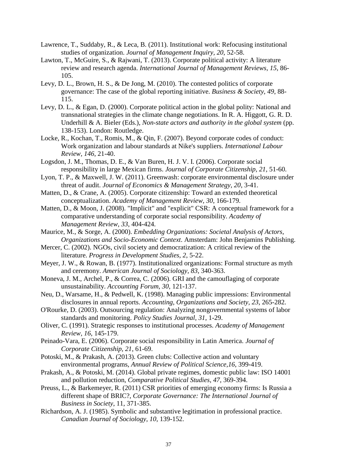- Lawrence, T., Suddaby, R., & Leca, B. (2011). Institutional work: Refocusing institutional studies of organization. *Journal of Management Inquiry, 20*, 52-58.
- Lawton, T., McGuire, S., & Rajwani, T. (2013). Corporate political activity: A literature review and research agenda. *International Journal of Management Reviews, 15*, 86- 105.
- Levy, D. L., Brown, H. S., & De Jong, M. (2010). The contested politics of corporate governance: The case of the global reporting initiative. *Business & Society, 49*, 88- 115.
- Levy, D. L., & Egan, D. (2000). Corporate political action in the global polity: National and transnational strategies in the climate change negotiations. In R. A. Higgott, G. R. D. Underhill & A. Bieler (Eds.), *Non-state actors and authority in the global system* (pp. 138-153). London: Routledge.
- Locke, R., Kochan, T., Romis, M., & Qin, F. (2007). Beyond corporate codes of conduct: Work organization and labour standards at Nike's suppliers. *International Labour Review, 146*, 21-40.
- Logsdon, J. M., Thomas, D. E., & Van Buren, H. J. V. I. (2006). Corporate social responsibility in large Mexican firms. *Journal of Corporate Citizenship, 21*, 51-60.
- Lyon, T. P., & Maxwell, J. W. (2011). Greenwash: corporate environmental disclosure under threat of audit. *Journal of Economics & Management Strategy, 20*, 3-41.
- Matten, D., & Crane, A. (2005). Corporate citizenship: Toward an extended theoretical conceptualization. *Academy of Management Review, 30*, 166-179.
- Matten, D., & Moon, J. (2008). "Implicit" and "explicit" CSR: A conceptual framework for a comparative understanding of corporate social responsibility. *Academy of Management Review, 33*, 404-424.
- Maurice, M., & Sorge, A. (2000). *Embedding Organizations: Societal Analysis of Actors, Organizations and Socio-Economic Context*. Amsterdam: John Benjamins Publishing.
- Mercer, C. (2002). NGOs, civil society and democratization: A critical review of the literature. *Progress in Development Studies, 2*, 5-22.
- Meyer, J. W., & Rowan, B. (1977). Institutionalized organizations: Formal structure as myth and ceremony. *American Journal of Sociology, 83*, 340-363.
- Moneva, J. M., Archel, P., & Correa, C. (2006). GRI and the camouflaging of corporate unsustainability. *Accounting Forum, 30*, 121-137.
- Neu, D., Warsame, H., & Pedwell, K. (1998). Managing public impressions: Environmental disclosures in annual reports. *Accounting, Organizations and Society, 23*, 265-282.
- O'Rourke, D. (2003). Outsourcing regulation: Analyzing nongovernmental systems of labor standards and monitoring. *Policy Studies Journal, 31*, 1-29.
- Oliver, C. (1991). Strategic responses to institutional processes. *Academy of Management Review, 16*, 145-179.
- Peinado-Vara, E. (2006). Corporate social responsibility in Latin America. *Journal of Corporate Citizenship, 21*, 61-69.
- Potoski, M., & Prakash, A. (2013). Green clubs: Collective action and voluntary environmental programs, *Annual Review of Political Science,16*, 399-419.
- Prakash, A., & Potoski, M. (2014). Global private regimes, domestic public law: ISO 14001 and pollution reduction, *Comparative Political Studies*, *47*, 369-394.
- Preuss, L., & Barkemeyer, R. (2011) CSR priorities of emerging economy firms: Is Russia a different shape of BRIC?, *Corporate Governance: The International Journal of Business in Society*, 11, 371-385.
- Richardson, A. J. (1985). Symbolic and substantive legitimation in professional practice. *Canadian Journal of Sociology, 10*, 139-152.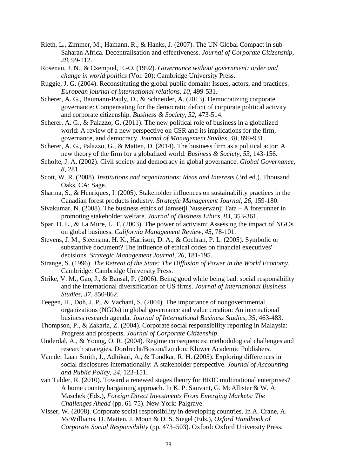- Rieth, L., Zimmer, M., Hamann, R., & Hanks, J. (2007). The UN Global Compact in sub-Saharan Africa. Decentralisation and effectiveness. *Journal of Corporate Citizenship, 28*, 99-112.
- Rosenau, J. N., & Czempiel, E.-O. (1992). *Governance without government: order and change in world politics* (Vol. 20): Cambridge University Press.
- Ruggie, J. G. (2004). Reconstituting the global public domain: Issues, actors, and practices. *European journal of international relations, 10*, 499-531.
- Scherer, A. G., Baumann-Pauly, D., & Schneider, A. (2013). Democratizing corporate governance: Compensating for the democratic deficit of corporate political activity and corporate citizenship. *Business & Society, 52*, 473-514.
- Scherer, A. G., & Palazzo, G. (2011). The new political role of business in a globalized world: A review of a new perspective on CSR and its implications for the firm, governance, and democracy. *Journal of Management Studies, 48*, 899-931.
- Scherer, A. G., Palazzo, G., & Matten, D. (2014). The business firm as a political actor: A new theory of the firm for a globalized world. *Business & Society, 53*, 143-156.
- Scholte, J. A. (2002). Civil society and democracy in global governance. *Global Governance, 8*, 281.
- Scott, W. R. (2008). *Institutions and organizations: Ideas and Interests* (3rd ed.). Thousand Oaks, CA: Sage.
- Sharma, S., & Henriques, I. (2005). Stakeholder influences on sustainability practices in the Canadian forest products industry. *Strategic Management Journal, 26*, 159-180.
- Sivakumar, N. (2008). The business ethics of Jamsetji Nusserwanji Tata A forerunner in promoting stakeholder welfare. *Journal of Business Ethics, 83*, 353-361.
- Spar, D. L., & La Mure, L. T. (2003). The power of activism: Assessing the impact of NGOs on global business. *California Management Review, 45*, 78-101.
- Stevens, J. M., Steensma, H. K., Harrison, D. A., & Cochran, P. L. (2005). Symbolic or substantive document? The influence of ethical codes on financial executives' decisions. *Strategic Management Journal, 26*, 181-195.
- Strange, S. (1996). *The Retreat of the State: The Diffusion of Power in the World Economy*. Cambridge: Cambridge University Press.
- Strike, V. M., Gao, J., & Bansal, P. (2006). Being good while being bad: social responsibility and the international diversification of US firms. *Journal of International Business Studies, 37*, 850-862.
- Teegen, H., Doh, J. P., & Vachani, S. (2004). The importance of nongovernmental organizations (NGOs) in global governance and value creation: An international business research agenda. *Journal of International Business Studies, 35*, 463-483.
- Thompson, P., & Zakaria, Z. (2004). Corporate social responsibility reporting in Malaysia: Progress and prospects. *Journal of Corporate Citizenship*.
- Underdal, A., & Young, O. R. (2004). Regime consequences: methodological challenges and research strategies. Dordrecht/Boston/London: Kluwer Academic Publishers.
- Van der Laan Smith, J., Adhikari, A., & Tondkar, R. H. (2005). Exploring differences in social disclosures internationally: A stakeholder perspective. *Journal of Accounting and Public Policy, 24*, 123-151.
- van Tulder, R. (2010). Toward a renewed stages theory for BRIC multinational enterprises? A home country bargaining approach. In K. P. Sauvant, G. McAllister & W. A. Maschek (Eds.), *Foreign Direct Investments From Emerging Markets: The Challenges Ahead* (pp. 61-75). New York: Palgrave.
- Visser, W. (2008). Corporate social responsibility in developing countries. In A. Crane, A. McWilliams, D. Matten, J. Moon & D. S. Siegel (Eds.), *Oxford Handbook of Corporate Social Responsibility* (pp. 473–503). Oxford: Oxford University Press.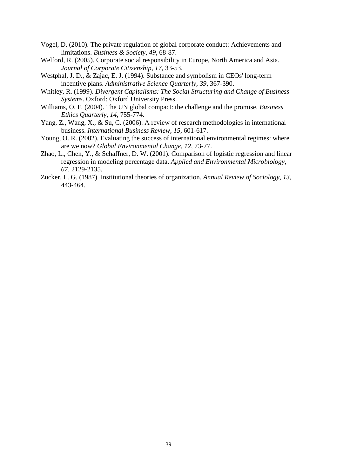- Vogel, D. (2010). The private regulation of global corporate conduct: Achievements and limitations. *Business & Society, 49*, 68-87.
- Welford, R. (2005). Corporate social responsibility in Europe, North America and Asia. *Journal of Corporate Citizenship, 17*, 33-53.
- Westphal, J. D., & Zajac, E. J. (1994). Substance and symbolism in CEOs' long-term incentive plans. *Administrative Science Quarterly, 39*, 367-390.
- Whitley, R. (1999). *Divergent Capitalisms: The Social Structuring and Change of Business Systems*. Oxford: Oxford University Press.
- Williams, O. F. (2004). The UN global compact: the challenge and the promise. *Business Ethics Quarterly, 14*, 755-774.
- Yang, Z., Wang, X., & Su, C. (2006). A review of research methodologies in international business. *International Business Review, 15*, 601-617.
- Young, O. R. (2002). Evaluating the success of international environmental regimes: where are we now? *Global Environmental Change, 12*, 73-77.
- Zhao, L., Chen, Y., & Schaffner, D. W. (2001). Comparison of logistic regression and linear regression in modeling percentage data. *Applied and Environmental Microbiology, 67*, 2129-2135.
- Zucker, L. G. (1987). Institutional theories of organization. *Annual Review of Sociology, 13*, 443-464.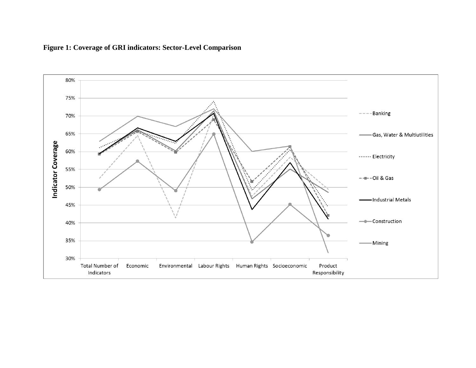

## **Figure 1: Coverage of GRI indicators: Sector-Level Comparison**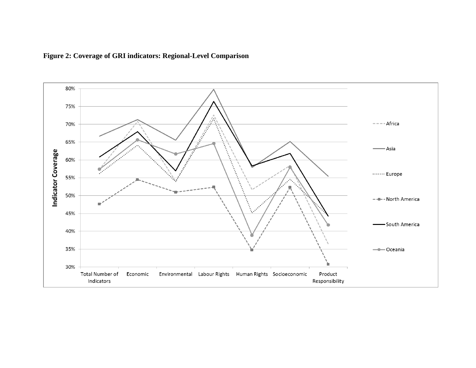

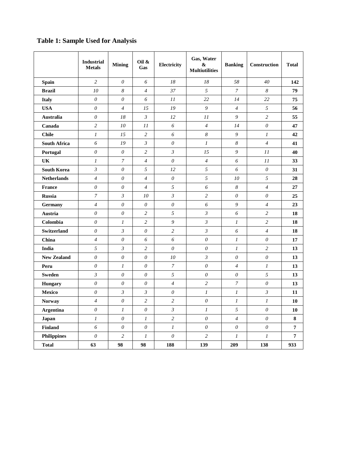## **Industrial Mining Oil &** Gas **Gas Electricity Gas, Water & Multiutilities Banking Construction Total Spain** *2 0 6 18 18 58 40* **142 Brazil** *10 8 4 37 5 7 8* **79 Italy** *0 0 6 11 22 14 22* **75 USA** *0 4 15 19 9 4 5* **56 Australia** *0 18 3 12 11 9 2* **55 Canada** *2 10 11 6 4 14 0* **47 Chile** *1 15 2 6 8 9 1* **42 South Africa** *6 19 3 0 1 8 4* **41 Portugal** *0 0 2 3 15 9 11* **40 UK** *1 7 4 0 4 6 11* **33 South Korea** *3 0 5 12 5 6 0* **31 Netherlands** *4 0 4 0 5 10 5* **28 France** *0 0 4 5 6 8 4* **27 Russia** *7 3 10 3 2 0 0* **25 Germany** *4 0 0 0 6 9 4* **23 Austria** *0 0 2 5 3 6 2* **18 Colombia** *0 1 2 9 3 1 2* **18 Switzerland** *0 3 0 2 3 6 4* **18 China** *4 0 6 6 0 1 0* **17 India** *5 3 2 0 0 1 2* **13 New Zealand** *0 0 0 10 3 0 0* **13 Peru** *0 1 0 7 0 4 1* **13 Sweden** *3 0 0 5 0 0 5* **13 Hungary** *0 0 0 4 2 7 0* **13 Mexico** *0 3 3 0 1 1 3* **11 Norway** *4 0 2 2 0 1 1* **10 Argentina** *0 1 0 3 1 5 0* **10 Japan** *1 0 1 2 0 4 0* **8 Finland** *6 0 0 1 0 0 0* **7 Philippines** *0 2 1 0 2 1 1* **7 Total 63 98 98 188 139 209 138 933**

## **Table 1: Sample Used for Analysis**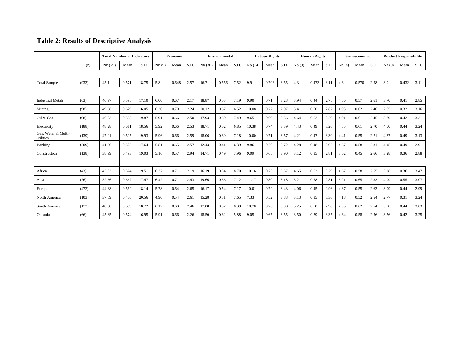# **Table 2: Results of Descriptive Analysis**

|                                  |       |         | <b>Total Number of Indicators</b> |       | Economic |       | <b>Environmental</b> |        | <b>Labour Rights</b> |      | <b>Human Rights</b> |       | Socioeconomic |       | <b>Product Responsibility</b> |      |       |       |      |       |       |      |
|----------------------------------|-------|---------|-----------------------------------|-------|----------|-------|----------------------|--------|----------------------|------|---------------------|-------|---------------|-------|-------------------------------|------|-------|-------|------|-------|-------|------|
|                                  | (n)   | Nb (79) | Mean                              | S.D.  | Nb(9)    | Mean  | S.D.                 | Nb(30) | Mean                 | S.D. | Nb(14)              | Mean  | S.D.          | Nb(9) | Mean                          | S.D. | Nb(8) | Mean  | S.D. | Nb(9) | Mean  | S.D. |
|                                  |       |         |                                   |       |          |       |                      |        |                      |      |                     |       |               |       |                               |      |       |       |      |       |       |      |
| <b>Total Sample</b>              | (933) | 45.1    | 0.571                             | 18.75 | 5.8      | 0.648 | 2.57                 | 16.7   | 0.556                | 7.52 | 9.9                 | 0.706 | 3.55          | 4.3   | 0.473                         | 3.11 | 4.6   | 0.570 | 2.58 | 3.9   | 0.432 | 3.11 |
|                                  |       |         |                                   |       |          |       |                      |        |                      |      |                     |       |               |       |                               |      |       |       |      |       |       |      |
| <b>Industrial Metals</b>         | (63)  | 46.97   | 0.595                             | 17.10 | 6.00     | 0.67  | 2.17                 | 18.87  | 0.63                 | 7.19 | 9.90                | 0.71  | 3.23          | 3.94  | 0.44                          | 2.75 | 4.56  | 0.57  | 2.61 | 3.70  | 0.41  | 2.85 |
| Mining                           | (98)  | 49.68   | 0.629                             | 16.05 | 6.30     | 0.70  | 2.24                 | 20.12  | 0.67                 | 6.52 | 10.08               | 0.72  | 2.97          | 5.41  | 0.60                          | 2.82 | 4.93  | 0.62  | 2.46 | 2.85  | 0.32  | 3.16 |
| Oil & Gas                        | (98)  | 46.83   | 0.593                             | 19.87 | 5.91     | 0.66  | 2.50                 | 17.93  | 0.60                 | 7.49 | 9.65                | 0.69  | 3.56          | 4.64  | 0.52                          | 3.29 | 4.91  | 0.61  | 2.45 | 3.79  | 0.42  | 3.31 |
| Electricity                      | (188) | 48.28   | 0.611                             | 18.56 | 5.92     | 0.66  | 2.53                 | 18.71  | 0.62                 | 6.85 | 10.38               | 0.74  | 3.39          | 4.43  | 0.49                          | 3.26 | 4.85  | 0.61  | 2.70 | 4.00  | 0.44  | 3.24 |
| Gas, Water & Multi-<br>utilities | (139) | 47.01   | 0.595                             | 19.93 | 5.96     | 0.66  | 2.59                 | 18.06  | 0.60                 | 7.18 | 10.00               | 0.71  | 3.57          | 4.21  | 0.47                          | 3.30 | 4.41  | 0.55  | 2.71 | 4.37  | 0.49  | 3.13 |
| Banking                          | (209) | 41.50   | 0.525                             | 17.64 | 5.81     | 0.65  | 2.57                 | 12.43  | 0.41                 | 6.39 | 9.86                | 0.70  | 3.72          | 4.28  | 0.48                          | 2.95 | 4.67  | 0.58  | 2.31 | 4.45  | 0.49  | 2.91 |
| Construction                     | (138) | 38.99   | 0.493                             | 19.03 | 5.16     | 0.57  | 2.94                 | 14.71  | 0.49                 | 7.96 | 9.09                | 0.65  | 3.90          | 3.12  | 0.35                          | 2.81 | 3.62  | 0.45  | 2.66 | 3.28  | 0.36  | 2.88 |
|                                  |       |         |                                   |       |          |       |                      |        |                      |      |                     |       |               |       |                               |      |       |       |      |       |       |      |
| Africa                           | (43)  | 45.33   | 0.574                             | 19.51 | 6.37     | 0.71  | 2.19                 | 16.19  | 0.54                 | 8.70 | 10.16               | 0.73  | 3.57          | 4.65  | 0.52                          | 3.29 | 4.67  | 0.58  | 2.55 | 3.28  | 0.36  | 3.47 |
| Asia                             | (76)  | 52.66   | 0.667                             | 17.47 | 6.42     | 0.71  | 2.43                 | 19.66  | 0.66                 | 7.12 | 11.17               | 0.80  | 3.18          | 5.21  | 0.58                          | 2.81 | 5.21  | 0.65  | 2.33 | 4.99  | 0.55  | 3.07 |
| Europe                           | (472) | 44.38   | 0.562                             | 18.14 | 5.78     | 0.64  | 2.65                 | 16.17  | 0.54                 | 7.17 | 10.01               | 0.72  | 3.43          | 4.06  | 0.45                          | 2.96 | 4.37  | 0.55  | 2.63 | 3.99  | 0.44  | 2.99 |
| North America                    | (103) | 37.59   | 0.476                             | 20.56 | 4.90     | 0.54  | 2.61                 | 15.28  | 0.51                 | 7.65 | 7.33                | 0.52  | 3.83          | 3.13  | 0.35                          | 3.36 | 4.18  | 0.52  | 2.54 | 2.77  | 0.31  | 3.24 |
| South America                    | (173) | 48.08   | 0.609                             | 18.72 | 6.12     | 0.68  | 2.46                 | 17.08  | 0.57                 | 8.39 | 10.70               | 0.76  | 3.08          | 5.25  | 0.58                          | 2.98 | 4.95  | 0.62  | 2.54 | 3.98  | 0.44  | 3.03 |
| Oceania                          | (66)  | 45.35   | 0.574                             | 16.95 | 5.91     | 0.66  | 2.26                 | 18.50  | 0.62                 | 5.88 | 9.05                | 0.65  | 3.55          | 3.50  | 0.39                          | 3.35 | 4.64  | 0.58  | 2.56 | 3.76  | 0.42  | 3.25 |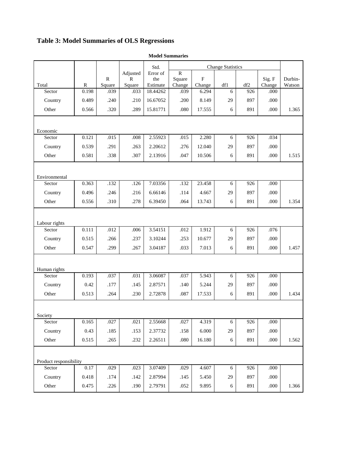# <span id="page-43-0"></span>**Table 3: Model Summaries of OLS Regressions**

|                        |              |                        |                        | Std.            | <b>Change Statistics</b> |                          |            |     |                  |                   |
|------------------------|--------------|------------------------|------------------------|-----------------|--------------------------|--------------------------|------------|-----|------------------|-------------------|
|                        |              |                        | Adjusted               | Error of        | ${\bf R}$                |                          |            |     |                  |                   |
| Total                  | $\mathbb{R}$ | $\mathbb{R}$<br>Square | $\mathbb{R}$<br>Square | the<br>Estimate | Square<br>Change         | $\overline{F}$<br>Change | df1        | df2 | Sig. F<br>Change | Durbin-<br>Watson |
| Sector                 | 0.198        | .039                   | .033                   | 18.44262        | .039                     | 6.294                    | 6          | 926 | .000             |                   |
| Country                | 0.489        | .240                   | .210                   | 16.67052        | .200                     | 8.149                    | 29         | 897 | .000             |                   |
| Other                  | 0.566        | .320                   | .289                   | 15.81771        | .080                     | 17.555                   | 6          | 891 | .000             | 1.365             |
|                        |              |                        |                        |                 |                          |                          |            |     |                  |                   |
| Economic               |              |                        |                        |                 |                          |                          |            |     |                  |                   |
| Sector                 | 0.121        | .015                   | .008                   | 2.55923         | .015                     | 2.280                    | 6          | 926 | .034             |                   |
| Country                | 0.539        | .291                   | .263                   | 2.20612         | .276                     | 12.040                   | 29         | 897 | .000             |                   |
| Other                  | 0.581        | .338                   | .307                   | 2.13916         | .047                     | 10.506                   | 6          | 891 | .000             | 1.515             |
|                        |              |                        |                        |                 |                          |                          |            |     |                  |                   |
| Environmental          |              |                        |                        |                 |                          |                          |            |     |                  |                   |
| Sector                 | 0.363        | .132                   | .126                   | 7.03356         | .132                     | 23.458                   | $\sqrt{6}$ | 926 | .000             |                   |
| Country                | 0.496        | .246                   | .216                   | 6.66146         | .114                     | 4.667                    | 29         | 897 | .000             |                   |
| Other                  | 0.556        | .310                   | .278                   | 6.39450         | .064                     | 13.743                   | 6          | 891 | .000             | 1.354             |
|                        |              |                        |                        |                 |                          |                          |            |     |                  |                   |
| Labour rights          |              |                        |                        |                 |                          |                          |            |     |                  |                   |
| Sector                 | 0.111        | .012                   | .006                   | 3.54151         | .012                     | 1.912                    | 6          | 926 | .076             |                   |
| Country                | 0.515        | .266                   | .237                   | 3.10244         | .253                     | 10.677                   | 29         | 897 | .000             |                   |
| Other                  | 0.547        | .299                   | .267                   | 3.04187         | .033                     | 7.013                    | 6          | 891 | .000             | 1.457             |
|                        |              |                        |                        |                 |                          |                          |            |     |                  |                   |
| Human rights           |              |                        |                        |                 |                          |                          |            |     |                  |                   |
| Sector                 | 0.193        | .037                   | .031                   | 3.06087         | .037                     | 5.943                    | 6          | 926 | .000             |                   |
| Country                | 0.42         | .177                   | .145                   | 2.87571         | .140                     | 5.244                    | 29         | 897 | .000             |                   |
| Other                  | 0.513        | .264                   | .230                   | 2.72878         | .087                     | 17.533                   | 6          | 891 | .000             | 1.434             |
|                        |              |                        |                        |                 |                          |                          |            |     |                  |                   |
| Society                |              |                        |                        |                 |                          |                          |            |     |                  |                   |
| Sector                 | 0.165        | .027                   | .021                   | 2.55668         | .027                     | 4.319                    | $\sqrt{6}$ | 926 | .000             |                   |
| Country                | 0.43         | .185                   | .153                   | 2.37732         | .158                     | 6.000                    | 29         | 897 | .000             |                   |
| Other                  | 0.515        | .265                   | .232                   | 2.26511         | .080                     | 16.180                   | 6          | 891 | .000             | 1.562             |
|                        |              |                        |                        |                 |                          |                          |            |     |                  |                   |
| Product responsibility | 0.17         |                        |                        |                 |                          |                          |            |     |                  |                   |
| Sector                 |              | .029                   | .023                   | 3.07409         | .029                     | 4.607                    | 6          | 926 | .000             |                   |
| Country                | 0.418        | .174                   | .142                   | 2.87994         | .145                     | 5.450                    | 29         | 897 | .000             |                   |
| Other                  | 0.475        | .226                   | .190                   | 2.79791         | .052                     | 9.895                    | $\sqrt{6}$ | 891 | $.000$           | 1.366             |

**Model Summaries**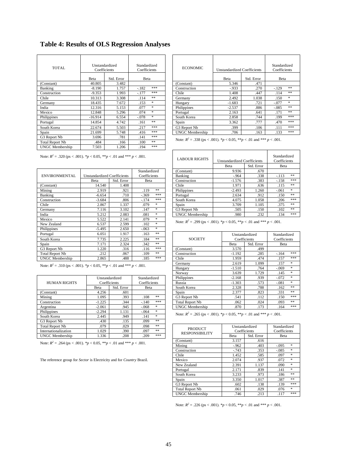**Table 4: Results of OLS Regression Analyses**

| <b>TOTAL</b>           |           | Unstandardized<br>Standardized<br>Coefficients<br>Coefficients |                   |  | <b>ECONOMIC</b>                                                        | <b>Unstandardized Coefficients</b> | Standardized<br>Coefficients |         |            |
|------------------------|-----------|----------------------------------------------------------------|-------------------|--|------------------------------------------------------------------------|------------------------------------|------------------------------|---------|------------|
|                        | Beta      | Std. Error                                                     | Beta              |  |                                                                        | Beta                               | Std. Error                   | Beta    |            |
| (Constant)             | 40.805    | 3.482                                                          |                   |  | (Constant)                                                             | 5.346                              | .471                         |         |            |
| Banking                | $-8.190$  | 1.757                                                          | ***<br>$-.182$    |  | Construction                                                           | $-933$                             | .270                         | $-129$  | **         |
| Construction           | $-9.353$  | 1.993                                                          | ***<br>$-.177$    |  | Chile                                                                  | 1.408                              | .447                         | .114    | $\ast\ast$ |
| Chile                  | 10.313    | 3.308                                                          | **<br>.114        |  | Germany                                                                | 2.492                              | 1.038                        | .150    | $*$        |
| Germany                | 18.435    | 7.672                                                          | $\ast$<br>.153    |  | Hungary                                                                | $-1.683$                           | .721                         | $-.077$ | $*$        |
| India                  | 12.316    | 5.153                                                          | *<br>.077         |  | Philippines                                                            | $-2.537$                           | .886                         | $-.085$ | **         |
| Mexico                 | 12.848    | 5.296                                                          | $\ast$<br>.074    |  | Portugal                                                               | 2.163                              | .641                         | .171    | $\ast\ast$ |
| Philippines            | $-16.914$ | 6.554                                                          | $\ast$<br>$-.078$ |  | South Korea                                                            | 2.858                              | .744                         | .199    | ***        |
| Portugal               | 14.854    | 4.742                                                          | **<br>.161        |  | Spain                                                                  | 3.362                              | .777                         | .470    | ***        |
| South Korea            | 22.674    | 5.503                                                          | ***<br>.217       |  | G3 Report Nb                                                           | .399                               | .106                         | .111    | ***        |
| Spain                  | 21.699    | 5.748                                                          | ***<br>.416       |  | <b>UNGC</b> Membership                                                 | .706                               | .163                         | .133    | ***        |
| G3 Report Nb           | 3.696     | .781                                                           | ***<br>.141       |  | Note: $R^2 = .338$ (ps < .001). *p < 0.05, **p < .01 and *** p < .001. |                                    |                              |         |            |
| <b>Total Report Nb</b> | .484      | .166                                                           | **<br>.100        |  |                                                                        |                                    |                              |         |            |
| <b>UNGC</b> Membership | 7.503     | 1.206                                                          | ***<br>.194       |  |                                                                        |                                    |                              |         |            |

|                        |                                    |            | Standardized |        | (Constant)                                                             |  | 9.936    | .670           |              |     |
|------------------------|------------------------------------|------------|--------------|--------|------------------------------------------------------------------------|--|----------|----------------|--------------|-----|
| ENVIRONMENTAL          | <b>Unstandardized Coefficients</b> |            | Coefficients |        | Banking                                                                |  | $-964$   | .338           | $-.113$      | **  |
|                        | Beta                               | Std. Error | Beta         |        | Construction                                                           |  | $-1.576$ | .383           | $-.158$      | *** |
| (Constant)             | 14.540                             | 1.408      |              |        | Chile                                                                  |  | 1.971    | .636           | .115         | **  |
| Mining                 | 2.919                              | .921       | .119         | **     | Philippines                                                            |  | $-2.493$ | 1.260          | $-.061$      | *   |
| Banking                | $-6.654$                           | .710       | $-.369$      | ***    | Portugal                                                               |  | 2.634    | .912           | .150         | **  |
| Construction           | $-3.684$                           | .806       | $-.174$      | ***    | South Korea                                                            |  | 4.075    | 1.058          | .206         | *** |
| Chile                  | 2.867                              | 1.337      | .079         | *      | Spain                                                                  |  | 3.709    | 1.105          | .375         | **  |
| Germany                | 7.116                              | 3.102      | .147         | ×.     | G3 Report Nb                                                           |  | .505     | .150           | .102         | **  |
| India                  | 5.212                              | 2.083      | .081         | $\ast$ | <b>UNGC</b> Membership                                                 |  | .980     | .232           | .134         | *** |
| Mexico                 | 5.522                              | 2.141      | .079         | *      | Note: $R^2 = .299$ (ps < .001). *p < 0.05, **p < .01 and *** p < .001. |  |          |                |              |     |
| New Zealand            | 6.537                              | 2.599      | .102         | *      |                                                                        |  |          |                |              |     |
| Philippines            | $-5.495$                           | 2.650      | $-.063$      | *      |                                                                        |  |          |                |              |     |
| Portugal               | 6.051                              | 1.917      | .163         | **     |                                                                        |  |          | Unstandardized | Standardized |     |
| South Korea            | 7.735                              | 2.225      | .184         | **     | <b>SOCIETY</b>                                                         |  |          | Coefficients   | Coefficients |     |
| Spain                  | 7.171                              | 2.324      | .342         | **     |                                                                        |  | Beta     | Std. Error     | Beta         |     |
| G3 Report Nb           | 1.220                              | .316       | .116         | ***    | (Constant)                                                             |  | 3.570    | .499           |              |     |
| <b>Total Report Nb</b> | .212                               | .067       | .109         | **     | Construction                                                           |  | $-1.192$ | .285           | $-.164$      | *** |
| <b>UNGC</b> Membership | 2.865                              | .488       | .185         | ***    | Chile                                                                  |  | 1.959    | .474           | .157         | *** |
|                        |                                    |            |              |        |                                                                        |  |          |                |              |     |

|                        |          | Unstandardized | Standardized |        |  | Philippines                                                            | $-2.168$ | .939           | $-.072$      | *   |
|------------------------|----------|----------------|--------------|--------|--|------------------------------------------------------------------------|----------|----------------|--------------|-----|
| <b>HUMAN RIGHTS</b>    |          | Coefficients   | Coefficients |        |  | Russia                                                                 | $-1.303$ | .573           | $-.081$      | *   |
|                        | Beta     | Std. Error     | Beta         |        |  | South Korea                                                            | 2.328    | .788           | .162         | **  |
| (Constant)             | 4.256    | .601           |              |        |  | Spain                                                                  | 2.377    | .823           | .331         | **  |
| Mining                 | 1.095    | .393           | .108         | **     |  | G3 Report Nb                                                           | .541     | .112           | .150         | *** |
| Construction           | $-1.225$ | .344           | $-.140$      | ***    |  | <b>Total Report Nb</b>                                                 | .062     | .024           | .093         | **  |
| Argentina              | $-2.061$ | .945           | $-.068$      | *      |  | <b>UNGC</b> Membership                                                 | .870     | .173           | .164         | *** |
| Philippines            | $-2.294$ | 1.131          | $-.064$      | *      |  | Note: $R^2 = .265$ (ps < .001). *p < 0.05, **p < .01 and *** p < .001. |          |                |              |     |
| South Korea            | 2.445    | .949           | .141         | $\ast$ |  |                                                                        |          |                |              |     |
| G3 Report Nb           | .430     | .135           | .099         | **     |  |                                                                        |          |                |              |     |
| <b>Total Report Nb</b> | .079     | .029           | .098         | **     |  |                                                                        |          | Unstandardized | Standardized |     |
| Internationalization   | 1.029    | .390           | .097         | **     |  | <b>PRODUCT</b><br><b>RESPONSIBILITY</b>                                |          | Coefficients   | Coefficients |     |
| <b>UNGC</b> Membership | 1.336    | .208           | .209         | ***    |  |                                                                        | Beta     | Std. Error     | Beta         |     |

| Unstandardized<br>Coefficients |            | Standardized<br>Coefficients |        |  | <b>ECONOMIC</b>        | <b>Unstandardized Coefficients</b> |       | Standardized<br>Coefficients |     |
|--------------------------------|------------|------------------------------|--------|--|------------------------|------------------------------------|-------|------------------------------|-----|
| Beta                           | Std. Error | Beta                         |        |  | Beta                   | Std. Error                         | Beta  |                              |     |
| 40.805                         | 3.482      |                              |        |  | (Constant)             | 5.346                              | .471  |                              |     |
| $-8.190$                       | 1.757      | $-.182$                      | ***    |  | Construction           | $-0.933$                           | .270  | $-.129$                      | **  |
| $-9.353$                       | 1.993      | $-.177$                      | ***    |  | Chile                  | 1.408                              | .447  | .114                         | **  |
| 10.313                         | 3.308      | .114                         | **     |  | Germany                | 2.492                              | 1.038 | .150                         | *   |
| 18.435                         | 7.672      | .153                         | $*$    |  | Hungary                | $-1.683$                           | .721  | $-.077$                      | *   |
| 12.316                         | 5.153      | .077                         | $\ast$ |  | Philippines            | $-2.537$                           | .886  | $-.085$                      | **  |
| 12.848                         | 5.296      | .074                         | $*$    |  | Portugal               | 2.163                              | .641  | .171                         | **  |
| $-16.914$                      | 6.554      | $-.078$                      | $*$    |  | South Korea            | 2.858                              | .744  | .199                         | *** |
| 14.854                         | 4.742      | .161                         | **     |  | Spain                  | 3.362                              | .777  | .470                         | *** |
| 22.674                         | 5.503      | .217                         | ***    |  | G3 Report Nb           | .399                               | .106  | .111                         | *** |
| 21.699                         | 5.748      | .416                         | ***    |  | <b>UNGC</b> Membership | .706                               | .163  | .133                         | *** |
| 2.606                          | 791        | 141                          | ***    |  |                        |                                    |       |                              |     |

| Note: $R^2 = .320$ (ps < .001). *p < 0.05, **p < .01 and *** p < .001. |                                    |            |              |     | <b>LABOUR RIGHTS</b> | <b>Unstandardized Coefficients</b><br>Beta | Standardized<br>Coefficients<br>Beta |                    |         |       |
|------------------------------------------------------------------------|------------------------------------|------------|--------------|-----|----------------------|--------------------------------------------|--------------------------------------|--------------------|---------|-------|
|                                                                        |                                    |            | Standardized |     |                      | (Constant)                                 | 9.936                                | Std. Error<br>.670 |         |       |
| ENVIRONMENTAL                                                          | <b>Unstandardized Coefficients</b> |            | Coefficients |     | Banking              | $-.964$                                    | .338                                 | $-.113$            | **      |       |
|                                                                        | <b>Beta</b>                        | Std. Error | Beta         |     |                      | Construction                               | $-1.576$                             | .383               | $-.158$ | ***   |
| (Constant)                                                             | 14.540                             | 1.408      |              |     |                      | Chile                                      | 1.971                                | .636               | .115    | $* *$ |
| Mining                                                                 | 2.919                              | .921       | .119         | **  |                      | Philippines                                | $-2.493$                             | 1.260              | $-.061$ | *     |
| Banking                                                                | $-6.654$                           | .710       | $-.369$      | *** |                      | Portugal                                   | 2.634                                | .912               | .150    | **    |
| Construction                                                           | $-3.684$                           | .806       | $-.174$      | *** |                      | South Korea                                | 4.075                                | 1.058              | .206    | ***   |
| Chile                                                                  | 2.867                              | 1.337      | .079         | *   |                      | Spain                                      | 3.709                                | 1.105              | .375    | **    |
| Germany                                                                | 7.116                              | 3.102      | .147         | *   |                      | G3 Report Nb                               | .505                                 | .150               | .102    | **    |
| India                                                                  | 5.212                              | 2.083      | .081         | *   |                      | <b>UNGC</b> Membership                     | .980                                 | .232               | .134    | ***   |

| Portugal                                                               | 6.051          | 1.917      | **<br>.163     |                        | Unstandardized |            | Standardized   |
|------------------------------------------------------------------------|----------------|------------|----------------|------------------------|----------------|------------|----------------|
| South Korea                                                            | 7.735          | 2.225      | **<br>.184     | <b>SOCIETY</b>         | Coefficients   |            | Coefficients   |
| Spain                                                                  | 7.171          | 2.324      | **<br>.342     |                        | Beta           | Std. Error | Beta           |
| G3 Report Nb                                                           | 1.220          | .316       | ***<br>.116    | (Constant)             | 3.570          | .499       |                |
| <b>Total Report Nb</b>                                                 | .212           | .067       | **<br>.109     | Construction           | $-1.192$       | .285       | ***<br>$-.164$ |
| <b>UNGC Membership</b>                                                 | 2.865          | .488       | ***<br>.185    | Chile                  | 1.959          | .474       | ***<br>.157    |
|                                                                        |                |            |                | Germany                | 2.619          | 1.099      | .157<br>*      |
| Note: $R^2 = .310$ (ps < .001). *p < 0.05, **p < .01 and *** p < .001. |                |            |                | Hungary                | $-1.510$       | .764       | *<br>$-.069$   |
|                                                                        |                |            |                | Norway                 | 3.639          | 1.729      | *<br>.145      |
|                                                                        | Unstandardized |            | Standardized   | Philippines            | $-2.168$       | .939       | $-.072$<br>*   |
| <b>HUMAN RIGHTS</b>                                                    | Coefficients   |            | Coefficients   | Russia                 | $-1.303$       | .573       | *<br>$-.081$   |
|                                                                        | Beta           | Std. Error | Beta           | South Korea            | 2.328          | .788       | **<br>.162     |
| (Constant)                                                             | 4.256          | .601       |                | Spain                  | 2.377          | .823       | **<br>.331     |
| Mining                                                                 | 1.095          | .393       | **<br>.108     | G3 Report Nb           | .541           | .112       | ***<br>.150    |
| Construction                                                           | $-1.225$       | .344       | ***<br>$-.140$ | <b>Total Report Nb</b> | .062           | .024       | **<br>.093     |
| Argentina                                                              | $-2.061$       | .945       | *<br>$-.068$   | <b>UNGC</b> Membership | .870           | .173       | ***<br>.164    |

| **<br><b>Total Report Nb</b><br>.079<br>.029<br>.098<br>Unstandardized<br>Standardized<br><b>PRODUCT</b><br>**<br>Internationalization<br>Coefficients<br>1.029<br>.390<br>Coefficients<br>.097<br><b>RESPONSIBILITY</b><br>*** | Beta |
|---------------------------------------------------------------------------------------------------------------------------------------------------------------------------------------------------------------------------------|------|
|                                                                                                                                                                                                                                 |      |
|                                                                                                                                                                                                                                 |      |
| <b>UNGC Membership</b><br>1.336<br>.208<br>.209<br>Std. Error<br>Beta                                                                                                                                                           |      |
| 3.157<br>(Constant)<br>.616<br>Note: $R^2 = .264$ (ps < .001). *p < 0.05, **p < .01 and *** p < .001.                                                                                                                           |      |
| Mining<br>.403<br>$-.095$<br>$-.962$                                                                                                                                                                                            | *    |
| .353<br>$-.085$<br>$-.743$<br>Construction                                                                                                                                                                                      | *    |
| .585<br>.097<br>Chile<br>1.452                                                                                                                                                                                                  | *    |
| The reference group for Sector is Electricity and for Country Brazil.<br>.937<br>.072<br>Mexico<br>2.074                                                                                                                        | *    |
| 1.137<br>2.391<br>.090<br>New Zealand                                                                                                                                                                                           | *    |
| .839<br>2.171<br>.141<br>Portugal                                                                                                                                                                                               | *    |
| .973<br>South Korea<br>3.233<br>.186                                                                                                                                                                                            | **   |
| .387<br>Spain<br>3.350<br>1.017                                                                                                                                                                                                 | **   |
| G3 Report Nb<br>.138<br>.602<br>.139                                                                                                                                                                                            | ***  |
| <b>Total Report Nb</b><br>.029<br>.076<br>.061                                                                                                                                                                                  | *    |
| <b>UNGC</b> Membership<br>.213<br>.746<br>.117                                                                                                                                                                                  | ***  |

Note:  $R^2 = .226$  (ps < .001).  ${}^*p < 0.05$ ,  ${}^{**}p < .01$  and  ${}^{***}p < .001$ .